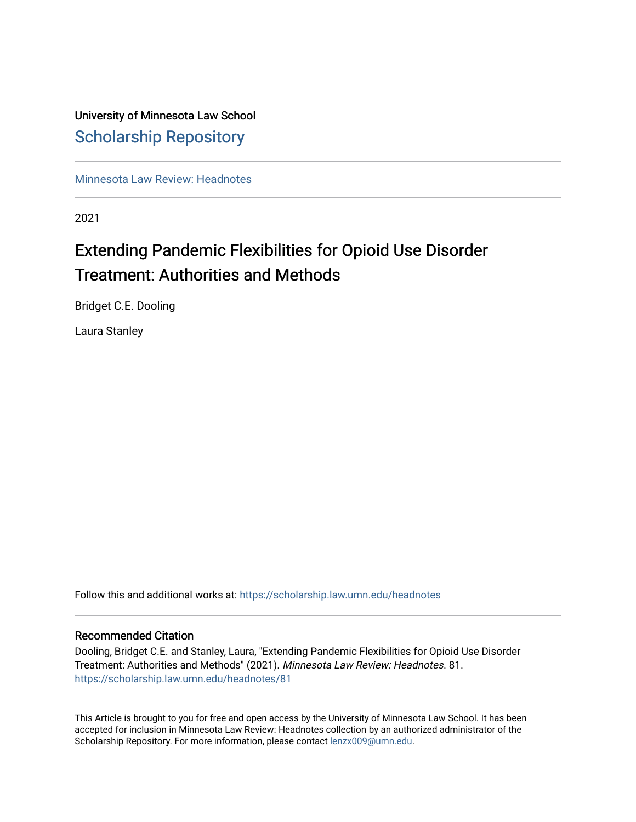# University of Minnesota Law School [Scholarship Repository](https://scholarship.law.umn.edu/)

[Minnesota Law Review: Headnotes](https://scholarship.law.umn.edu/headnotes) 

2021

# Extending Pandemic Flexibilities for Opioid Use Disorder Treatment: Authorities and Methods

Bridget C.E. Dooling

Laura Stanley

Follow this and additional works at: [https://scholarship.law.umn.edu/headnotes](https://scholarship.law.umn.edu/headnotes?utm_source=scholarship.law.umn.edu%2Fheadnotes%2F81&utm_medium=PDF&utm_campaign=PDFCoverPages) 

# Recommended Citation

Dooling, Bridget C.E. and Stanley, Laura, "Extending Pandemic Flexibilities for Opioid Use Disorder Treatment: Authorities and Methods" (2021). Minnesota Law Review: Headnotes. 81. [https://scholarship.law.umn.edu/headnotes/81](https://scholarship.law.umn.edu/headnotes/81?utm_source=scholarship.law.umn.edu%2Fheadnotes%2F81&utm_medium=PDF&utm_campaign=PDFCoverPages)

This Article is brought to you for free and open access by the University of Minnesota Law School. It has been accepted for inclusion in Minnesota Law Review: Headnotes collection by an authorized administrator of the Scholarship Repository. For more information, please contact [lenzx009@umn.edu.](mailto:lenzx009@umn.edu)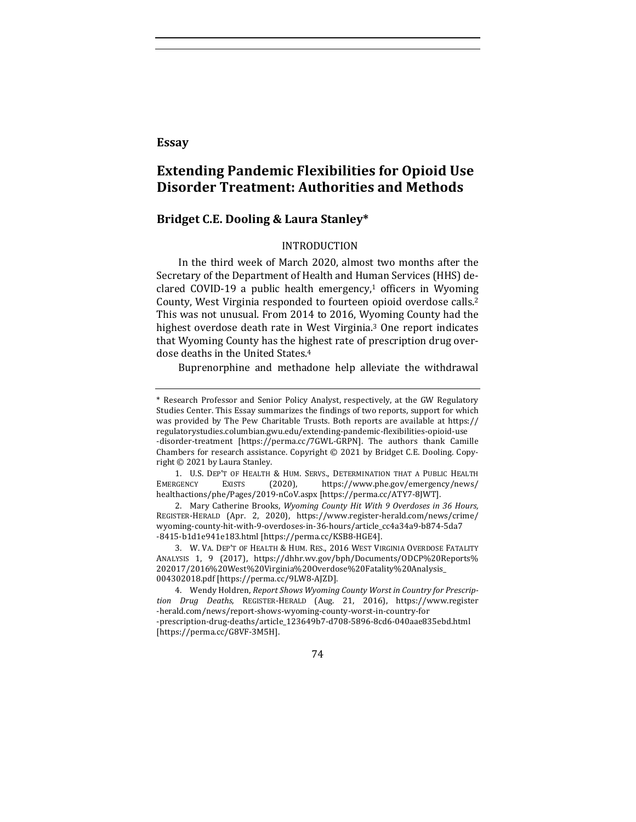# **Essay**

# **Extending Pandemic Flexibilities for Opioid Use Disorder Treatment: Authorities and Methods**

# **Bridget C.E. Dooling & Laura Stanley\***

# INTRODUCTION

In the third week of March 2020, almost two months after the Secretary of the Department of Health and Human Services (HHS) declared COVID-19 a public health emergency,<sup>1</sup> officers in Wyoming County, West Virginia responded to fourteen opioid overdose calls.<sup>2</sup> This was not unusual. From 2014 to 2016, Wyoming County had the highest overdose death rate in West Virginia.<sup>3</sup> One report indicates that Wyoming County has the highest rate of prescription drug overdose deaths in the United States.<sup>4</sup>

Buprenorphine and methadone help alleviate the withdrawal

1. U.S. DEP'T OF HEALTH & HUM. SERVS., DETERMINATION THAT A PUBLIC HEALTH EMERGENCY EXISTS (2020), https://www.phe.gov/emergency/news/ healthactions/phe/Pages/2019-nCoV.aspx [https://perma.cc/ATY7-8JWT]. 

2. Mary Catherine Brooks, *Wyoming County Hit With* 9 Overdoses in 36 Hours, REGISTER-HERALD (Apr. 2, 2020), https://www.register-herald.com/news/crime/ wyoming-county-hit-with-9-overdoses-in-36-hours/article\_cc4a34a9-b874-5da7 -8415-b1d1e941e183.html [https://perma.cc/KSB8-HGE4].

3. W. VA. DEP'T OF HEALTH & HUM. RES., 2016 WEST VIRGINIA OVERDOSE FATALITY ANALYSIS 1, 9 (2017), https://dhhr.wv.gov/bph/Documents/ODCP%20Reports% 202017/2016%20West%20Virginia%20Overdose%20Fatality%20Analysis\_ 004302018.pdf [https://perma.cc/9LW8-AJZD]. 

4. Wendy Holdren, Report Shows Wyoming County Worst in Country for Prescrip*tion Drug Deaths*, REGISTER-HERALD (Aug. 21, 2016), https://www.register -herald.com/news/report-shows-wyoming-county-worst-in-country-for -prescription-drug-deaths/article\_123649b7-d708-5896-8cd6-040aae835ebd.html [https://perma.cc/G8VF-3M5H]. 

74

<sup>\*</sup> Research Professor and Senior Policy Analyst, respectively, at the GW Regulatory Studies Center. This Essay summarizes the findings of two reports, support for which was provided by The Pew Charitable Trusts. Both reports are available at https:// regulatorystudies.columbian.gwu.edu/extending-pandemic-flexibilities-opioid-use -disorder-treatment [https://perma.cc/7GWL-GRPN]. The authors thank Camille Chambers for research assistance. Copyright  $\odot$  2021 by Bridget C.E. Dooling. Copyright  $©$  2021 by Laura Stanley.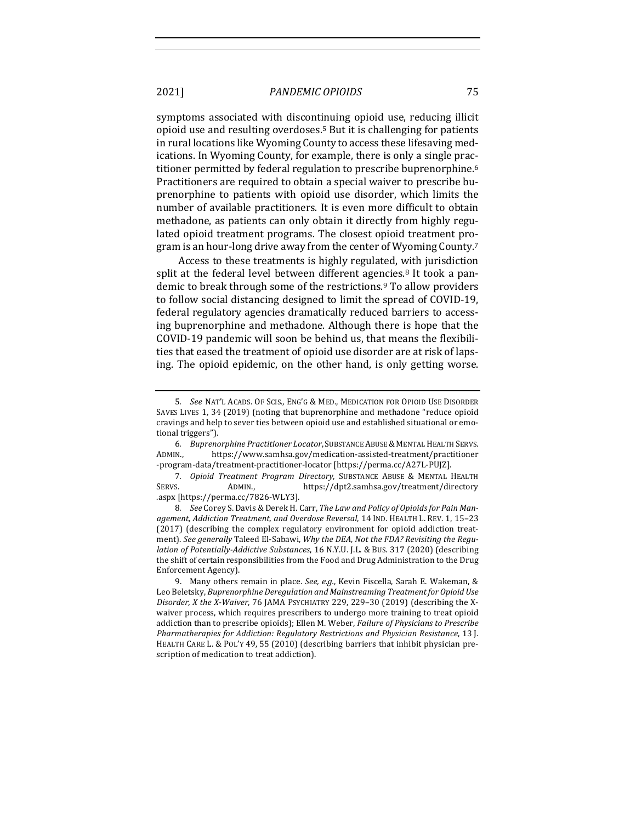symptoms associated with discontinuing opioid use, reducing illicit opioid use and resulting overdoses.<sup>5</sup> But it is challenging for patients in rural locations like Wyoming County to access these lifesaving medications. In Wyoming County, for example, there is only a single practitioner permitted by federal regulation to prescribe buprenorphine.<sup>6</sup> Practitioners are required to obtain a special waiver to prescribe buprenorphine to patients with opioid use disorder, which limits the number of available practitioners. It is even more difficult to obtain methadone, as patients can only obtain it directly from highly regulated opioid treatment programs. The closest opioid treatment program is an hour-long drive away from the center of Wyoming County.<sup>7</sup>

Access to these treatments is highly regulated, with jurisdiction split at the federal level between different agencies.<sup>8</sup> It took a pandemic to break through some of the restrictions.<sup>9</sup> To allow providers to follow social distancing designed to limit the spread of COVID-19, federal regulatory agencies dramatically reduced barriers to accessing buprenorphine and methadone. Although there is hope that the COVID-19 pandemic will soon be behind us, that means the flexibilities that eased the treatment of opioid use disorder are at risk of lapsing. The opioid epidemic, on the other hand, is only getting worse.

<sup>5</sup>*. See* NAT'L ACADS. OF SCIS., ENG'G & MED., MEDICATION FOR OPIOID USE DISORDER SAVES LIVES 1, 34 (2019) (noting that buprenorphine and methadone "reduce opioid cravings and help to sever ties between opioid use and established situational or emotional triggers").

<sup>6.</sup> *Buprenorphine Practitioner Locator*, SUBSTANCE ABUSE & MENTAL HEALTH SERVS. ADMIN., https://www.samhsa.gov/medication-assisted-treatment/practitioner -program-data/treatment-practitioner-locator [https://perma.cc/A27L-PUJZ].

<sup>7</sup>*. Opioid Treatment Program Directory*, SUBSTANCE ABUSE & MENTAL HEALTH SERVS. ADMIN., https://dpt2.samhsa.gov/treatment/directory .aspx [https://perma.cc/7826-WLY3].

<sup>8.</sup> See Corey S. Davis & Derek H. Carr, *The Law and Policy of Opioids for Pain Management, Addiction Treatment, and Overdose Reversal*, 14 IND. HEALTH L. REV. 1, 15–23 (2017) (describing the complex regulatory environment for opioid addiction treatment). *See generally* Taleed El-Sabawi, *Why the DEA, Not the FDA? Revisiting the Regulation of Potentially-Addictive Substances*, 16 N.Y.U. *J.L.* & Bus. 317 (2020) (describing the shift of certain responsibilities from the Food and Drug Administration to the Drug Enforcement Agency).

<sup>9.</sup> Many others remain in place. See, e.g., Kevin Fiscella, Sarah E. Wakeman, & Leo Beletsky, *Buprenorphine Deregulation and Mainstreaming Treatment for Opioid Use Disorder, X the X-Waiver*, 76 JAMA PSYCHIATRY 229, 229–30 (2019) (describing the Xwaiver process, which requires prescribers to undergo more training to treat opioid addiction than to prescribe opioids); Ellen M. Weber, *Failure of Physicians to Prescribe* Pharmatherapies for Addiction: Regulatory Restrictions and Physician Resistance, 13 J. HEALTH CARE L. & POL'Y 49, 55 (2010) (describing barriers that inhibit physician prescription of medication to treat addiction).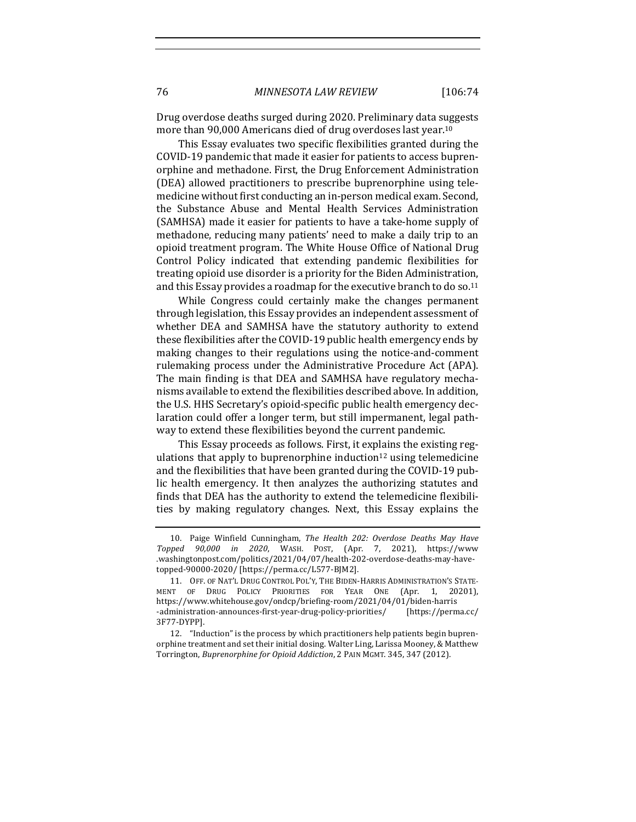Drug overdose deaths surged during 2020. Preliminary data suggests more than 90,000 Americans died of drug overdoses last year.<sup>10</sup>

This Essay evaluates two specific flexibilities granted during the COVID-19 pandemic that made it easier for patients to access buprenorphine and methadone. First, the Drug Enforcement Administration (DEA) allowed practitioners to prescribe buprenorphine using telemedicine without first conducting an in-person medical exam. Second, the Substance Abuse and Mental Health Services Administration (SAMHSA) made it easier for patients to have a take-home supply of methadone, reducing many patients' need to make a daily trip to an opioid treatment program. The White House Office of National Drug Control Policy indicated that extending pandemic flexibilities for treating opioid use disorder is a priority for the Biden Administration, and this Essay provides a roadmap for the executive branch to do so.<sup>11</sup>

While Congress could certainly make the changes permanent through legislation, this Essay provides an independent assessment of whether DEA and SAMHSA have the statutory authority to extend these flexibilities after the COVID-19 public health emergency ends by making changes to their regulations using the notice-and-comment rulemaking process under the Administrative Procedure Act (APA). The main finding is that DEA and SAMHSA have regulatory mechanisms available to extend the flexibilities described above. In addition, the U.S. HHS Secretary's opioid-specific public health emergency declaration could offer a longer term, but still impermanent, legal pathway to extend these flexibilities beyond the current pandemic.

This Essay proceeds as follows. First, it explains the existing regulations that apply to buprenorphine induction<sup>12</sup> using telemedicine and the flexibilities that have been granted during the COVID-19 public health emergency. It then analyzes the authorizing statutes and finds that DEA has the authority to extend the telemedicine flexibilities by making regulatory changes. Next, this Essay explains the

<sup>10.</sup> Paige Winfield Cunningham, *The Health 202: Overdose Deaths May Have Topped 90,000 in 2020*, WASH. POST, (Apr. 7, 2021), https://www .washingtonpost.com/politics/2021/04/07/health-202-overdose-deaths-may-havetopped-90000-2020/ [https://perma.cc/L577-BJM2].

<sup>11.</sup> OFF. OF NAT'L DRUG CONTROL POL'Y, THE BIDEN-HARRIS ADMINISTRATION'S STATE-MENT OF DRUG POLICY PRIORITIES FOR YEAR ONE (Apr. 1, 20201), https://www.whitehouse.gov/ondcp/briefing-room/2021/04/01/biden-harris -administration-announces-first-year-drug-policy-priorities/ [https://perma.cc/ 3F77-DYPP].

<sup>12. &</sup>quot;Induction" is the process by which practitioners help patients begin buprenorphine treatment and set their initial dosing. Walter Ling, Larissa Mooney, & Matthew Torrington, *Buprenorphine for Opioid Addiction*, 2 PAIN MGMT. 345, 347 (2012).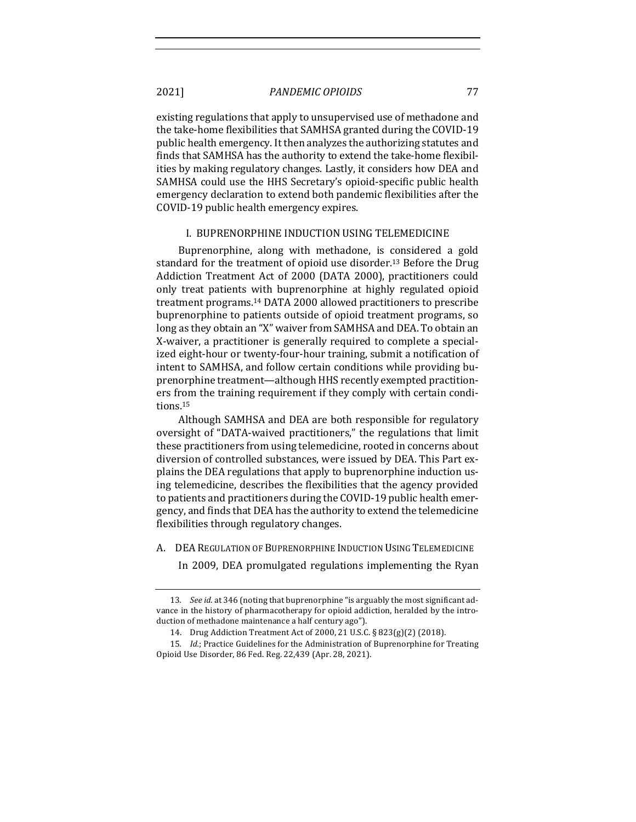existing regulations that apply to unsupervised use of methadone and the take-home flexibilities that SAMHSA granted during the COVID-19 public health emergency. It then analyzes the authorizing statutes and finds that SAMHSA has the authority to extend the take-home flexibilities by making regulatory changes. Lastly, it considers how DEA and SAMHSA could use the HHS Secretary's opioid-specific public health emergency declaration to extend both pandemic flexibilities after the COVID-19 public health emergency expires.

#### I. BUPRENORPHINE INDUCTION USING TELEMEDICINE

Buprenorphine, along with methadone, is considered a gold standard for the treatment of opioid use disorder.<sup>13</sup> Before the Drug Addiction Treatment Act of 2000 (DATA 2000), practitioners could only treat patients with buprenorphine at highly regulated opioid treatment programs.<sup>14</sup> DATA 2000 allowed practitioners to prescribe buprenorphine to patients outside of opioid treatment programs, so long as they obtain an "X" waiver from SAMHSA and DEA. To obtain an X-waiver, a practitioner is generally required to complete a specialized eight-hour or twenty-four-hour training, submit a notification of intent to SAMHSA, and follow certain conditions while providing buprenorphine treatment—although HHS recently exempted practitioners from the training requirement if they comply with certain conditions.15

Although SAMHSA and DEA are both responsible for regulatory oversight of "DATA-waived practitioners," the regulations that limit these practitioners from using telemedicine, rooted in concerns about diversion of controlled substances, were issued by DEA. This Part explains the DEA regulations that apply to buprenorphine induction using telemedicine, describes the flexibilities that the agency provided to patients and practitioners during the COVID-19 public health emergency, and finds that DEA has the authority to extend the telemedicine flexibilities through regulatory changes.

A. DEA REGULATION OF BUPRENORPHINE INDUCTION USING TELEMEDICINE

In 2009, DEA promulgated regulations implementing the Ryan

<sup>13.</sup> *See id.* at 346 (noting that buprenorphine "is arguably the most significant advance in the history of pharmacotherapy for opioid addiction, heralded by the introduction of methadone maintenance a half century ago").

<sup>14.</sup> Drug Addiction Treatment Act of 2000, 21 U.S.C. § 823(g)(2) (2018).

<sup>15.</sup> *Id.*; Practice Guidelines for the Administration of Buprenorphine for Treating Opioid Use Disorder, 86 Fed. Reg. 22,439 (Apr. 28, 2021).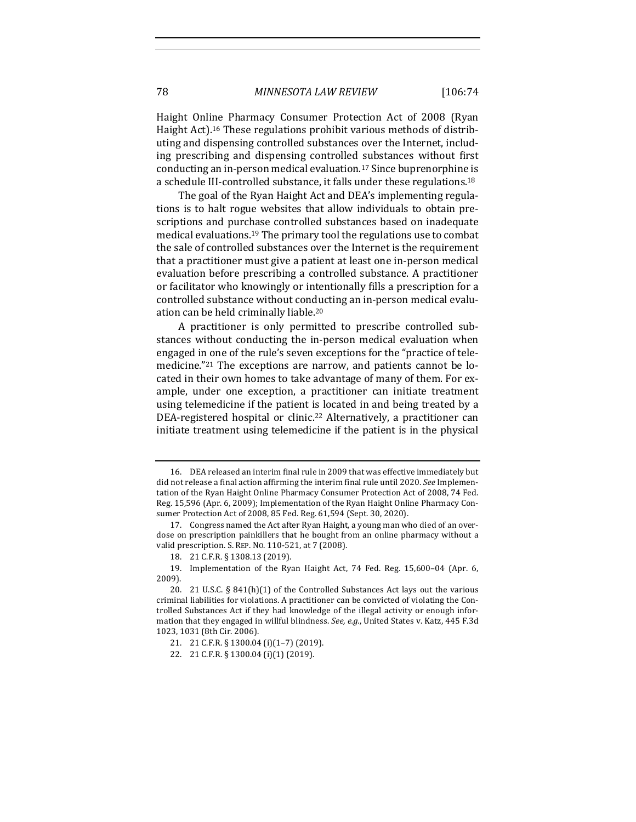Haight Online Pharmacy Consumer Protection Act of 2008 (Ryan Haight Act).<sup>16</sup> These regulations prohibit various methods of distributing and dispensing controlled substances over the Internet, including prescribing and dispensing controlled substances without first conducting an in-person medical evaluation.<sup>17</sup> Since buprenorphine is a schedule III-controlled substance, it falls under these regulations.<sup>18</sup>

The goal of the Ryan Haight Act and DEA's implementing regulations is to halt rogue websites that allow individuals to obtain prescriptions and purchase controlled substances based on inadequate medical evaluations.<sup>19</sup> The primary tool the regulations use to combat the sale of controlled substances over the Internet is the requirement that a practitioner must give a patient at least one in-person medical evaluation before prescribing a controlled substance. A practitioner or facilitator who knowingly or intentionally fills a prescription for a controlled substance without conducting an in-person medical evaluation can be held criminally liable.<sup>20</sup>

A practitioner is only permitted to prescribe controlled substances without conducting the in-person medical evaluation when engaged in one of the rule's seven exceptions for the "practice of telemedicine."<sup>21</sup> The exceptions are narrow, and patients cannot be located in their own homes to take advantage of many of them. For example, under one exception, a practitioner can initiate treatment using telemedicine if the patient is located in and being treated by a DEA-registered hospital or clinic.<sup>22</sup> Alternatively, a practitioner can initiate treatment using telemedicine if the patient is in the physical

<sup>16.</sup> DEA released an interim final rule in 2009 that was effective immediately but did not release a final action affirming the interim final rule until 2020. *See* Implementation of the Ryan Haight Online Pharmacy Consumer Protection Act of 2008, 74 Fed. Reg. 15,596 (Apr. 6, 2009); Implementation of the Ryan Haight Online Pharmacy Consumer Protection Act of 2008, 85 Fed. Reg. 61,594 (Sept. 30, 2020).

<sup>17.</sup> Congress named the Act after Ryan Haight, a young man who died of an overdose on prescription painkillers that he bought from an online pharmacy without a valid prescription. S. REP. No. 110-521, at 7 (2008).

<sup>18. 21</sup> C.F.R. § 1308.13 (2019).

<sup>19.</sup> Implementation of the Ryan Haight Act, 74 Fed. Reg. 15,600-04 (Apr. 6, 2009). 

<sup>20. 21</sup> U.S.C.  $\S$  841(h)(1) of the Controlled Substances Act lays out the various criminal liabilities for violations. A practitioner can be convicted of violating the Controlled Substances Act if they had knowledge of the illegal activity or enough information that they engaged in willful blindness. See, e.g., United States v. Katz, 445 F.3d 1023, 1031 (8th Cir. 2006).

<sup>21. 21</sup> C.F.R. § 1300.04 (i)(1-7) (2019).

<sup>22. 21</sup> C.F.R. § 1300.04 (i)(1) (2019).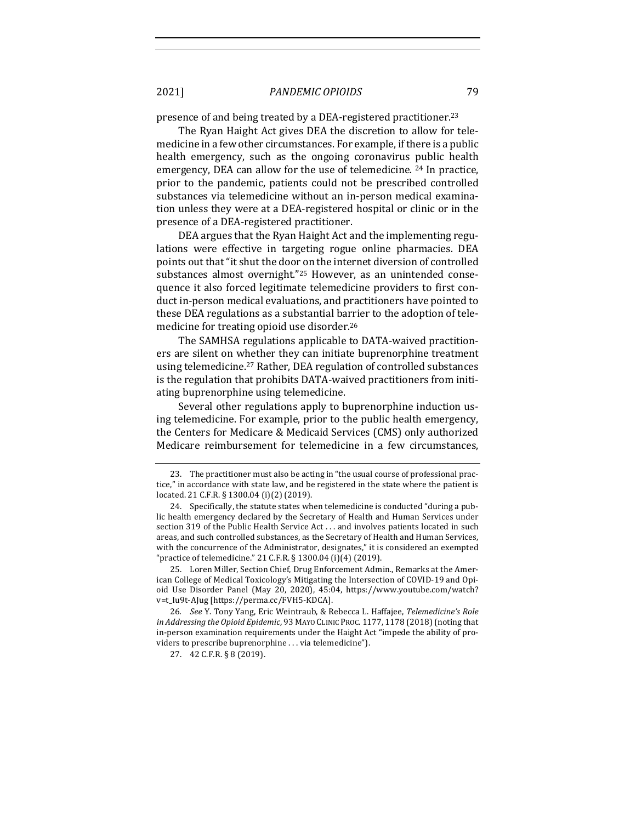presence of and being treated by a DEA-registered practitioner.<sup>23</sup>

The Ryan Haight Act gives DEA the discretion to allow for telemedicine in a few other circumstances. For example, if there is a public health emergency, such as the ongoing coronavirus public health emergency, DEA can allow for the use of telemedicine. <sup>24</sup> In practice, prior to the pandemic, patients could not be prescribed controlled substances via telemedicine without an in-person medical examination unless they were at a DEA-registered hospital or clinic or in the presence of a DEA-registered practitioner.

DEA argues that the Ryan Haight Act and the implementing regulations were effective in targeting rogue online pharmacies. DEA points out that "it shut the door on the internet diversion of controlled substances almost overnight."<sup>25</sup> However, as an unintended consequence it also forced legitimate telemedicine providers to first conduct in-person medical evaluations, and practitioners have pointed to these DEA regulations as a substantial barrier to the adoption of telemedicine for treating opioid use disorder.<sup>26</sup>

The SAMHSA regulations applicable to DATA-waived practitioners are silent on whether they can initiate buprenorphine treatment using telemedicine.<sup>27</sup> Rather, DEA regulation of controlled substances is the regulation that prohibits DATA-waived practitioners from initiating buprenorphine using telemedicine.

Several other regulations apply to buprenorphine induction using telemedicine. For example, prior to the public health emergency, the Centers for Medicare & Medicaid Services (CMS) only authorized Medicare reimbursement for telemedicine in a few circumstances,

25. Loren Miller, Section Chief, Drug Enforcement Admin., Remarks at the American College of Medical Toxicology's Mitigating the Intersection of COVID-19 and Opioid Use Disorder Panel (May 20, 2020), 45:04, https://www.youtube.com/watch? v=t\_Iu9t-AJug [https://perma.cc/FVH5-KDCA].

26. *See* Y. Tony Yang, Eric Weintraub, & Rebecca L. Haffajee, Telemedicine's Role *in Addressing the Opioid Epidemic*, 93 MAYO CLINIC PROC. 1177, 1178 (2018) (noting that in-person examination requirements under the Haight Act "impede the ability of providers to prescribe buprenorphine . . . via telemedicine").

27. 42 C.F.R. § 8 (2019).

<sup>23.</sup> The practitioner must also be acting in "the usual course of professional practice," in accordance with state law, and be registered in the state where the patient is located. 21 C.F.R. § 1300.04 (i)(2) (2019).

<sup>24.</sup> Specifically, the statute states when telemedicine is conducted "during a public health emergency declared by the Secretary of Health and Human Services under section 319 of the Public Health Service Act ... and involves patients located in such areas, and such controlled substances, as the Secretary of Health and Human Services, with the concurrence of the Administrator, designates," it is considered an exempted "practice of telemedicine." 21 C.F.R. § 1300.04 (i)(4) (2019).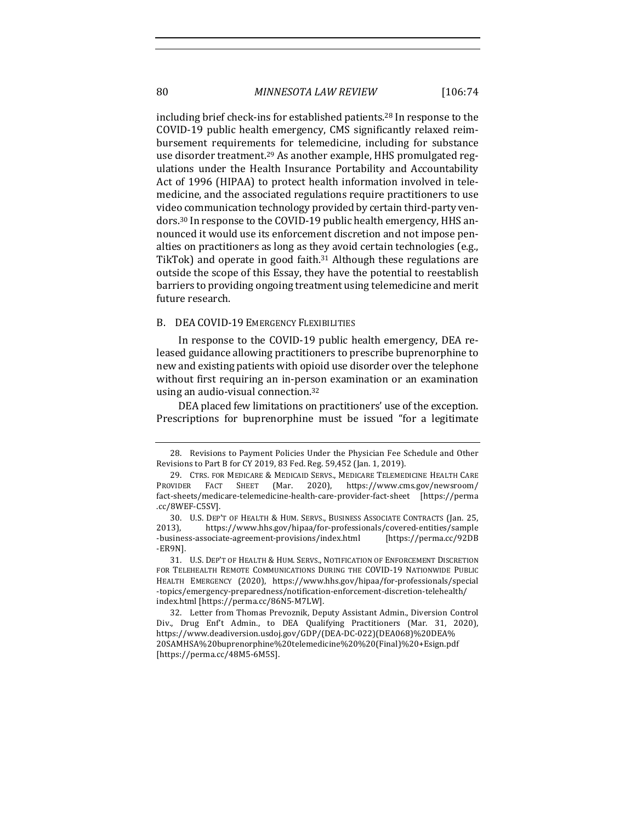including brief check-ins for established patients.<sup>28</sup> In response to the COVID-19 public health emergency, CMS significantly relaxed reimbursement requirements for telemedicine, including for substance use disorder treatment.<sup>29</sup> As another example. HHS promulgated regulations under the Health Insurance Portability and Accountability Act of 1996 (HIPAA) to protect health information involved in telemedicine, and the associated regulations require practitioners to use video communication technology provided by certain third-party vendors.<sup>30</sup> In response to the COVID-19 public health emergency, HHS announced it would use its enforcement discretion and not impose penalties on practitioners as long as they avoid certain technologies (e.g., TikTok) and operate in good faith.<sup>31</sup> Although these regulations are outside the scope of this Essay, they have the potential to reestablish barriers to providing ongoing treatment using telemedicine and merit future research.

#### B. DEA COVID-19 EMERGENCY FLEXIBILITIES

In response to the COVID-19 public health emergency, DEA released guidance allowing practitioners to prescribe buprenorphine to new and existing patients with opioid use disorder over the telephone without first requiring an in-person examination or an examination using an audio-visual connection.<sup>32</sup>

DEA placed few limitations on practitioners' use of the exception. Prescriptions for buprenorphine must be issued "for a legitimate

<sup>28.</sup> Revisions to Payment Policies Under the Physician Fee Schedule and Other Revisions to Part B for CY 2019, 83 Fed. Reg. 59,452 (Jan. 1, 2019).

<sup>29.</sup> CTRS. FOR MEDICARE & MEDICAID SERVS., MEDICARE TELEMEDICINE HEALTH CARE PROVIDER FACT SHEET (Mar. 2020), https://www.cms.gov/newsroom/ fact-sheets/medicare-telemedicine-health-care-provider-fact-sheet [https://perma .cc/8WEF-C5SV].

<sup>30.</sup> U.S. DEP'T OF HEALTH & HUM. SERVS., BUSINESS ASSOCIATE CONTRACTS (Jan. 25, 2013), https://www.hhs.gov/hipaa/for-professionals/covered-entities/sample -business-associate-agreement-provisions/index.html [https://perma.cc/92DB -ER9N].

<sup>31.</sup> U.S. DEP'T OF HEALTH & HUM. SERVS., NOTIFICATION OF ENFORCEMENT DISCRETION FOR TELEHEALTH REMOTE COMMUNICATIONS DURING THE COVID-19 NATIONWIDE PUBLIC HEALTH EMERGENCY (2020), https://www.hhs.gov/hipaa/for-professionals/special -topics/emergency-preparedness/notification-enforcement-discretion-telehealth/ index.html [https://perma.cc/86N5-M7LW].

<sup>32.</sup> Letter from Thomas Prevoznik, Deputy Assistant Admin., Diversion Control Div., Drug Enf't Admin., to DEA Qualifying Practitioners (Mar. 31, 2020), https://www.deadiversion.usdoj.gov/GDP/(DEA-DC-022)(DEA068)%20DEA% 20SAMHSA%20buprenorphine%20telemedicine%20%20(Final)%20+Esign.pdf [https://perma.cc/48M5-6M5S].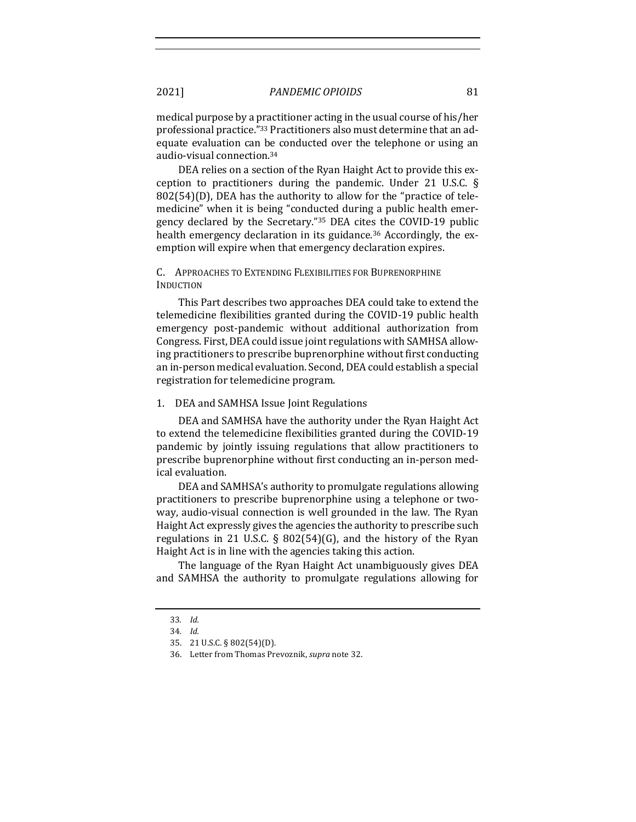medical purpose by a practitioner acting in the usual course of his/her professional practice."<sup>33</sup> Practitioners also must determine that an adequate evaluation can be conducted over the telephone or using an audio-visual connection.<sup>34</sup>

DEA relies on a section of the Ryan Haight Act to provide this exception to practitioners during the pandemic. Under 21 U.S.C.  $\S$  $802(54)(D)$ , DEA has the authority to allow for the "practice of telemedicine" when it is being "conducted during a public health emergency declared by the Secretary."35 DEA cites the COVID-19 public health emergency declaration in its guidance.<sup>36</sup> Accordingly, the exemption will expire when that emergency declaration expires.

# C. APPROACHES TO EXTENDING FLEXIBILITIES FOR BUPRENORPHINE INDUCTION

This Part describes two approaches DEA could take to extend the telemedicine flexibilities granted during the COVID-19 public health emergency post-pandemic without additional authorization from Congress. First, DEA could issue joint regulations with SAMHSA allowing practitioners to prescribe buprenorphine without first conducting an in-person medical evaluation. Second, DEA could establish a special registration for telemedicine program.

#### 1. DEA and SAMHSA Issue Joint Regulations

DEA and SAMHSA have the authority under the Ryan Haight Act to extend the telemedicine flexibilities granted during the COVID-19 pandemic by jointly issuing regulations that allow practitioners to prescribe buprenorphine without first conducting an in-person medical evaluation.

DEA and SAMHSA's authority to promulgate regulations allowing practitioners to prescribe buprenorphine using a telephone or twoway, audio-visual connection is well grounded in the law. The Ryan Haight Act expressly gives the agencies the authority to prescribe such regulations in 21 U.S.C. § 802(54)(G), and the history of the Ryan Haight Act is in line with the agencies taking this action.

The language of the Ryan Haight Act unambiguously gives DEA and SAMHSA the authority to promulgate regulations allowing for

<sup>33</sup>*. Id.*

<sup>34</sup>*. Id.*

<sup>35.</sup> 21 U.S.C. § 802(54)(D).

<sup>36.</sup> Letter from Thomas Prevoznik, *supra* note 32.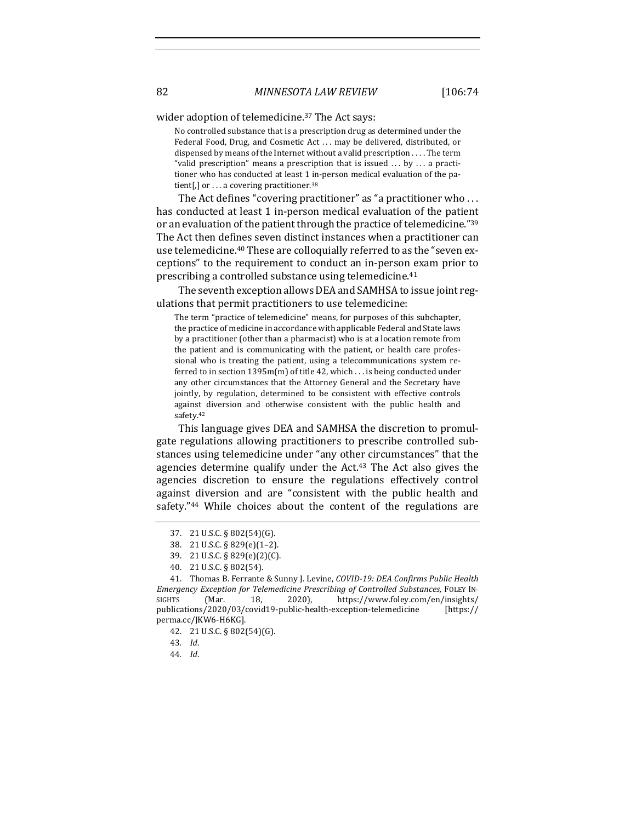wider adoption of telemedicine.<sup>37</sup> The Act says:

No controlled substance that is a prescription drug as determined under the Federal Food, Drug, and Cosmetic Act ... may be delivered, distributed, or dispensed by means of the Internet without a valid prescription . . . . The term "valid prescription" means a prescription that is issued  $\ldots$  by  $\ldots$  a practitioner who has conducted at least 1 in-person medical evaluation of the patient[,] or  $\dots$  a covering practitioner.<sup>38</sup>

The Act defines "covering practitioner" as "a practitioner who ... has conducted at least 1 in-person medical evaluation of the patient or an evaluation of the patient through the practice of telemedicine."<sup>39</sup> The Act then defines seven distinct instances when a practitioner can use telemedicine.<sup>40</sup> These are colloquially referred to as the "seven exceptions" to the requirement to conduct an in-person exam prior to prescribing a controlled substance using telemedicine. $41$ 

The seventh exception allows DEA and SAMHSA to issue joint regulations that permit practitioners to use telemedicine:

The term "practice of telemedicine" means, for purposes of this subchapter, the practice of medicine in accordance with applicable Federal and State laws by a practitioner (other than a pharmacist) who is at a location remote from the patient and is communicating with the patient, or health care professional who is treating the patient, using a telecommunications system referred to in section  $1395m(m)$  of title 42, which ... is being conducted under any other circumstances that the Attorney General and the Secretary have jointly, by regulation, determined to be consistent with effective controls against diversion and otherwise consistent with the public health and safety.<sup>42</sup>

This language gives DEA and SAMHSA the discretion to promulgate regulations allowing practitioners to prescribe controlled substances using telemedicine under "any other circumstances" that the agencies determine qualify under the  $Act^{43}$  The Act also gives the agencies discretion to ensure the regulations effectively control against diversion and are "consistent with the public health and safety." $44$  While choices about the content of the regulations are

<sup>37.</sup> 21 U.S.C. § 802(54)(G).

<sup>38.</sup> 21 U.S.C. § 829(e)(1–2).

<sup>39.</sup> 21 U.S.C. § 829(e)(2)(C).

<sup>40.</sup> 21 U.S.C. § 802(54).

<sup>41.</sup> Thomas B. Ferrante & Sunny J. Levine, *COVID-19: DEA Confirms Public Health Emergency Exception for Telemedicine Prescribing of Controlled Substances,* FOLEY IN-SIGHTS (Mar. 18, 2020), https://www.foley.com/en/insights/ publications/2020/03/covid19-public-health-exception-telemedicine [https:// perma.cc/JKW6-H6KG].

<sup>42.</sup> 21 U.S.C. § 802(54)(G).

<sup>43</sup>*. Id*.

<sup>44</sup>*. Id*.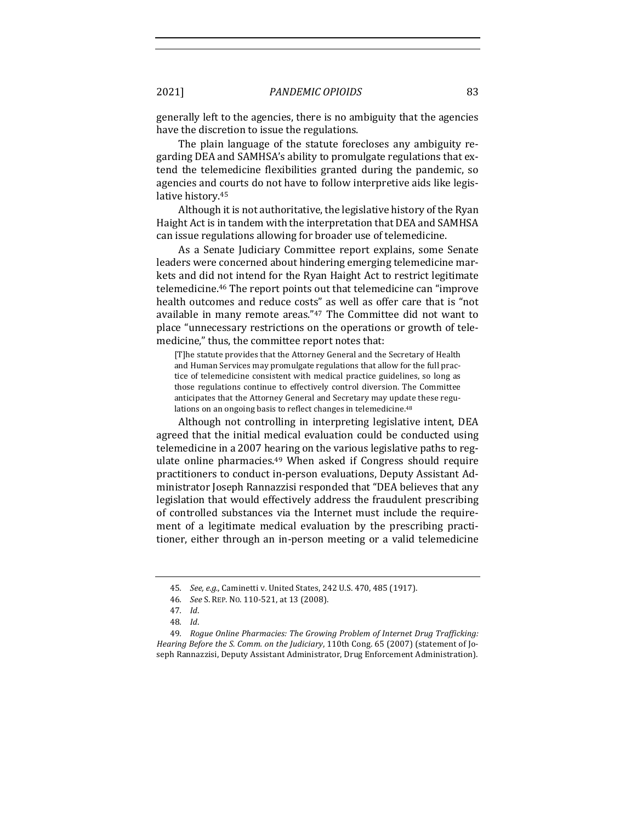generally left to the agencies, there is no ambiguity that the agencies have the discretion to issue the regulations.

The plain language of the statute forecloses any ambiguity regarding DEA and SAMHSA's ability to promulgate regulations that extend the telemedicine flexibilities granted during the pandemic, so agencies and courts do not have to follow interpretive aids like legislative history.<sup>45</sup>

Although it is not authoritative, the legislative history of the Ryan Haight Act is in tandem with the interpretation that DEA and SAMHSA can issue regulations allowing for broader use of telemedicine.

As a Senate Judiciary Committee report explains, some Senate leaders were concerned about hindering emerging telemedicine markets and did not intend for the Ryan Haight Act to restrict legitimate telemedicine.<sup>46</sup> The report points out that telemedicine can "improve health outcomes and reduce costs" as well as offer care that is "not available in many remote areas."<sup>47</sup> The Committee did not want to place "unnecessary restrictions on the operations or growth of telemedicine," thus, the committee report notes that:

[T]he statute provides that the Attorney General and the Secretary of Health and Human Services may promulgate regulations that allow for the full practice of telemedicine consistent with medical practice guidelines, so long as those regulations continue to effectively control diversion. The Committee anticipates that the Attorney General and Secretary may update these regulations on an ongoing basis to reflect changes in telemedicine.<sup>48</sup>

Although not controlling in interpreting legislative intent, DEA agreed that the initial medical evaluation could be conducted using telemedicine in a 2007 hearing on the various legislative paths to regulate online pharmacies. $49$  When asked if Congress should require practitioners to conduct in-person evaluations, Deputy Assistant Administrator Joseph Rannazzisi responded that "DEA believes that any legislation that would effectively address the fraudulent prescribing of controlled substances via the Internet must include the requirement of a legitimate medical evaluation by the prescribing practitioner, either through an in-person meeting or a valid telemedicine

<sup>45.</sup> *See, e.g.*, Caminetti v. United States, 242 U.S. 470, 485 (1917).

<sup>46.</sup> *See* S. REP. No. 110-521, at 13 (2008).

<sup>47</sup>*. Id*.

<sup>48</sup>*. Id*.

<sup>49.</sup> Rogue Online Pharmacies: The Growing Problem of Internet Drug Trafficking: *Hearing Before the S. Comm. on the Judiciary*, 110th Cong. 65 (2007) (statement of Joseph Rannazzisi, Deputy Assistant Administrator, Drug Enforcement Administration).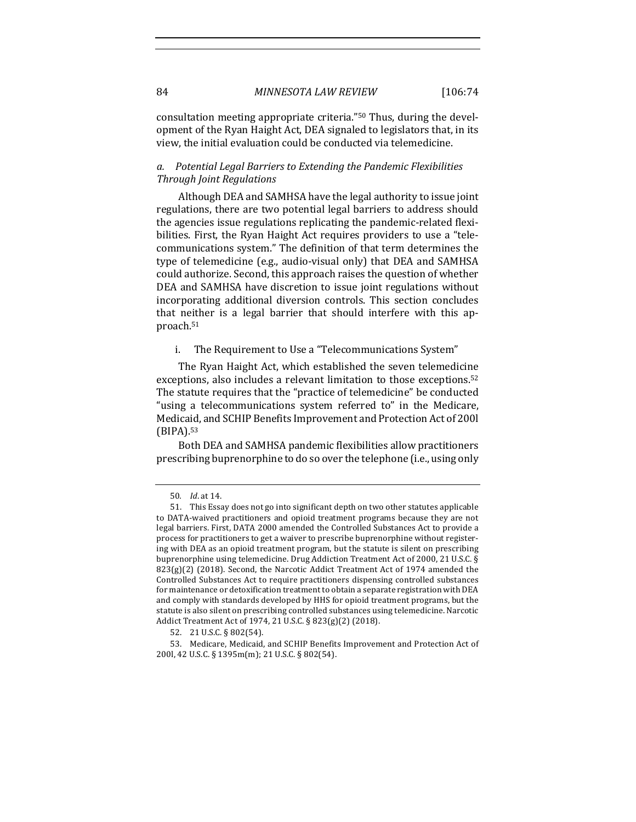consultation meeting appropriate criteria."<sup>50</sup> Thus, during the development of the Ryan Haight Act, DEA signaled to legislators that, in its view, the initial evaluation could be conducted via telemedicine.

# a. Potential Legal Barriers to Extending the Pandemic Flexibilities *Through Joint Regulations*

Although DEA and SAMHSA have the legal authority to issue joint regulations, there are two potential legal barriers to address should the agencies issue regulations replicating the pandemic-related flexibilities. First, the Ryan Haight Act requires providers to use a "telecommunications system." The definition of that term determines the type of telemedicine (e.g., audio-visual only) that DEA and SAMHSA could authorize. Second, this approach raises the question of whether DEA and SAMHSA have discretion to issue joint regulations without incorporating additional diversion controls. This section concludes that neither is a legal barrier that should interfere with this approach.51

i. The Requirement to Use a "Telecommunications System"

The Ryan Haight Act, which established the seven telemedicine exceptions, also includes a relevant limitation to those exceptions.<sup>52</sup> The statute requires that the "practice of telemedicine" be conducted "using a telecommunications system referred to" in the Medicare, Medicaid, and SCHIP Benefits Improvement and Protection Act of 2001 (BIPA).53

Both DEA and SAMHSA pandemic flexibilities allow practitioners prescribing buprenorphine to do so over the telephone (i.e., using only

<sup>50</sup>*. Id*. at 14.

<sup>51.</sup> This Essay does not go into significant depth on two other statutes applicable to DATA-waived practitioners and opioid treatment programs because they are not legal barriers. First, DATA 2000 amended the Controlled Substances Act to provide a process for practitioners to get a waiver to prescribe buprenorphine without registering with DEA as an opioid treatment program, but the statute is silent on prescribing buprenorphine using telemedicine. Drug Addiction Treatment Act of 2000, 21 U.S.C. §  $823(g)(2)$  (2018). Second, the Narcotic Addict Treatment Act of 1974 amended the Controlled Substances Act to require practitioners dispensing controlled substances for maintenance or detoxification treatment to obtain a separate registration with DEA and comply with standards developed by HHS for opioid treatment programs, but the statute is also silent on prescribing controlled substances using telemedicine. Narcotic Addict Treatment Act of 1974, 21 U.S.C. § 823(g)(2) (2018).

<sup>52.</sup> 21 U.S.C. § 802(54).

<sup>53.</sup> Medicare, Medicaid, and SCHIP Benefits Improvement and Protection Act of 200l, 42 U.S.C. § 1395m(m); 21 U.S.C. § 802(54).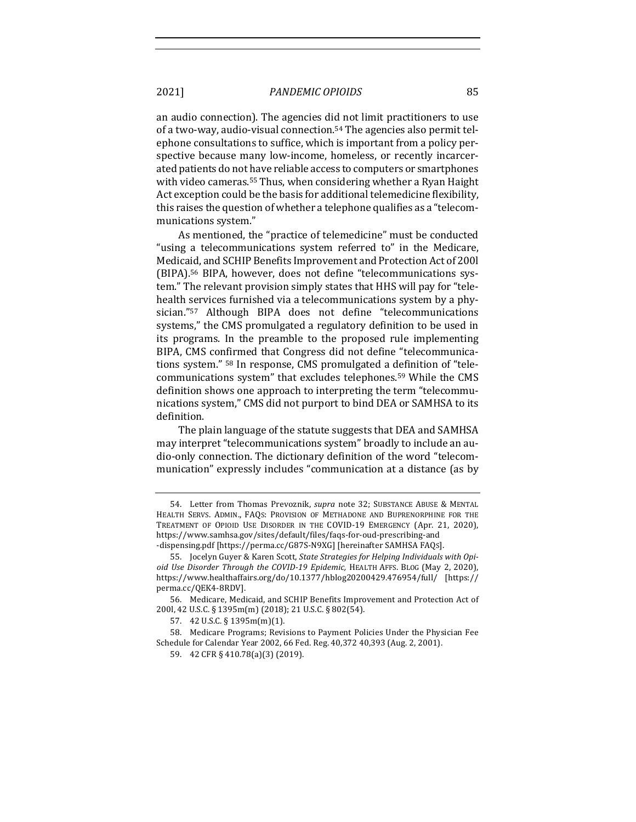an audio connection). The agencies did not limit practitioners to use of a two-way, audio-visual connection.<sup>54</sup> The agencies also permit telephone consultations to suffice, which is important from a policy perspective because many low-income, homeless, or recently incarcerated patients do not have reliable access to computers or smartphones with video cameras.<sup>55</sup> Thus, when considering whether a Ryan Haight Act exception could be the basis for additional telemedicine flexibility, this raises the question of whether a telephone qualifies as a "telecommunications system."

As mentioned, the "practice of telemedicine" must be conducted "using a telecommunications system referred to" in the Medicare, Medicaid, and SCHIP Benefits Improvement and Protection Act of 2001 (BIPA).<sup>56</sup> BIPA, however, does not define "telecommunications system." The relevant provision simply states that HHS will pay for "telehealth services furnished via a telecommunications system by a physician."<sup>57</sup> Although BIPA does not define "telecommunications systems," the CMS promulgated a regulatory definition to be used in its programs. In the preamble to the proposed rule implementing BIPA, CMS confirmed that Congress did not define "telecommunications system." <sup>58</sup> In response, CMS promulgated a definition of "telecommunications system" that excludes telephones.<sup>59</sup> While the CMS definition shows one approach to interpreting the term "telecommunications system," CMS did not purport to bind DEA or SAMHSA to its definition.

The plain language of the statute suggests that DEA and SAMHSA may interpret "telecommunications system" broadly to include an audio-only connection. The dictionary definition of the word "telecommunication" expressly includes "communication at a distance (as by

<sup>54.</sup> Letter from Thomas Prevoznik, *supra* note 32; SUBSTANCE ABUSE & MENTAL HEALTH SERVS. ADMIN., FAQS: PROVISION OF METHADONE AND BUPRENORPHINE FOR THE TREATMENT OF OPIOID USE DISORDER IN THE COVID-19 EMERGENCY (Apr. 21, 2020), https://www.samhsa.gov/sites/default/files/faqs-for-oud-prescribing-and -dispensing.pdf [https://perma.cc/G87S-N9XG] [hereinafter SAMHSA FAQs].

<sup>55.</sup> Jocelyn Guyer & Karen Scott, *State Strategies for Helping Individuals with Opioid Use Disorder Through the COVID-19 Epidemic, HEALTH AFFS. BLOG* (May 2, 2020), https://www.healthaffairs.org/do/10.1377/hblog20200429.476954/full/ [https:// perma.cc/QEK4-8RDV].

<sup>56.</sup> Medicare, Medicaid, and SCHIP Benefits Improvement and Protection Act of 200l, 42 U.S.C. § 1395m(m) (2018); 21 U.S.C. § 802(54).

<sup>57. 42</sup> U.S.C. § 1395m(m)(1).

<sup>58.</sup> Medicare Programs; Revisions to Payment Policies Under the Physician Fee Schedule for Calendar Year 2002, 66 Fed. Reg. 40,372 40,393 (Aug. 2, 2001).

<sup>59. 42</sup> CFR § 410.78(a)(3) (2019).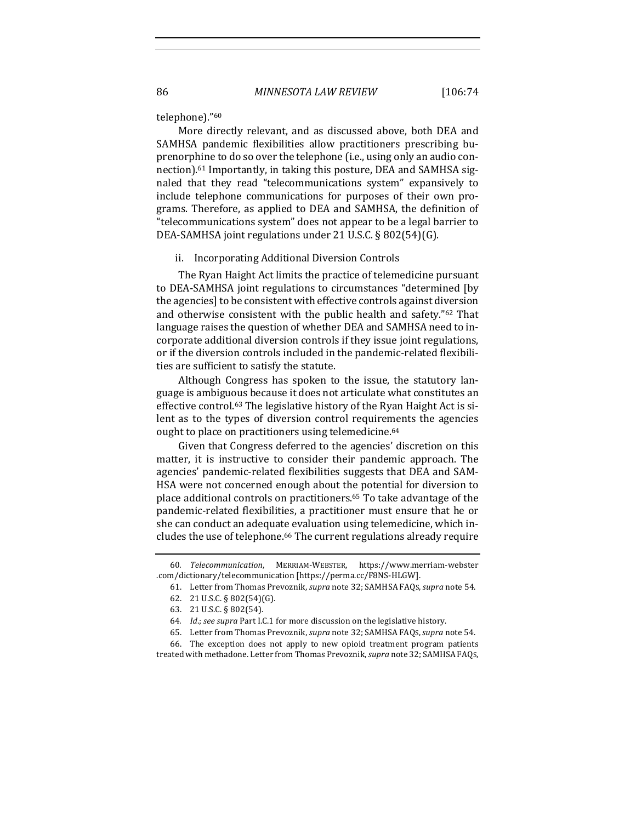#### telephone)."60

More directly relevant, and as discussed above, both DEA and SAMHSA pandemic flexibilities allow practitioners prescribing buprenorphine to do so over the telephone (i.e., using only an audio connection).<sup>61</sup> Importantly, in taking this posture, DEA and SAMHSA signaled that they read "telecommunications system" expansively to include telephone communications for purposes of their own programs. Therefore, as applied to DEA and SAMHSA, the definition of "telecommunications system" does not appear to be a legal barrier to DEA-SAMHSA joint regulations under 21 U.S.C. § 802(54)(G).

#### ii. Incorporating Additional Diversion Controls

The Ryan Haight Act limits the practice of telemedicine pursuant to DEA-SAMHSA joint regulations to circumstances "determined [by the agencies] to be consistent with effective controls against diversion and otherwise consistent with the public health and safety."<sup>62</sup> That language raises the question of whether DEA and SAMHSA need to incorporate additional diversion controls if they issue joint regulations, or if the diversion controls included in the pandemic-related flexibilities are sufficient to satisfy the statute.

Although Congress has spoken to the issue, the statutory language is ambiguous because it does not articulate what constitutes an effective control.<sup>63</sup> The legislative history of the Ryan Haight Act is silent as to the types of diversion control requirements the agencies ought to place on practitioners using telemedicine.<sup>64</sup>

Given that Congress deferred to the agencies' discretion on this matter, it is instructive to consider their pandemic approach. The agencies' pandemic-related flexibilities suggests that DEA and SAM-HSA were not concerned enough about the potential for diversion to place additional controls on practitioners.<sup>65</sup> To take advantage of the pandemic-related flexibilities, a practitioner must ensure that he or she can conduct an adequate evaluation using telemedicine, which includes the use of telephone.<sup>66</sup> The current regulations already require

66. The exception does not apply to new opioid treatment program patients treated with methadone. Letter from Thomas Prevoznik, *supra* note 32; SAMHSA FAQs,

<sup>60</sup>*. Telecommunication*, MERRIAM-WEBSTER, https://www.merriam-webster .com/dictionary/telecommunication [https://perma.cc/F8NS-HLGW].

<sup>61.</sup> Letter from Thomas Prevoznik, *supra* note 32; SAMHSA FAQs, *supra* note 54.

<sup>62.</sup> 21 U.S.C. § 802(54)(G).

<sup>63.</sup> 21 U.S.C. § 802(54).

<sup>64.</sup> Id.; see supra Part I.C.1 for more discussion on the legislative history.

<sup>65.</sup> Letter from Thomas Prevoznik, *supra* note 32; SAMHSA FAQS, *supra* note 54.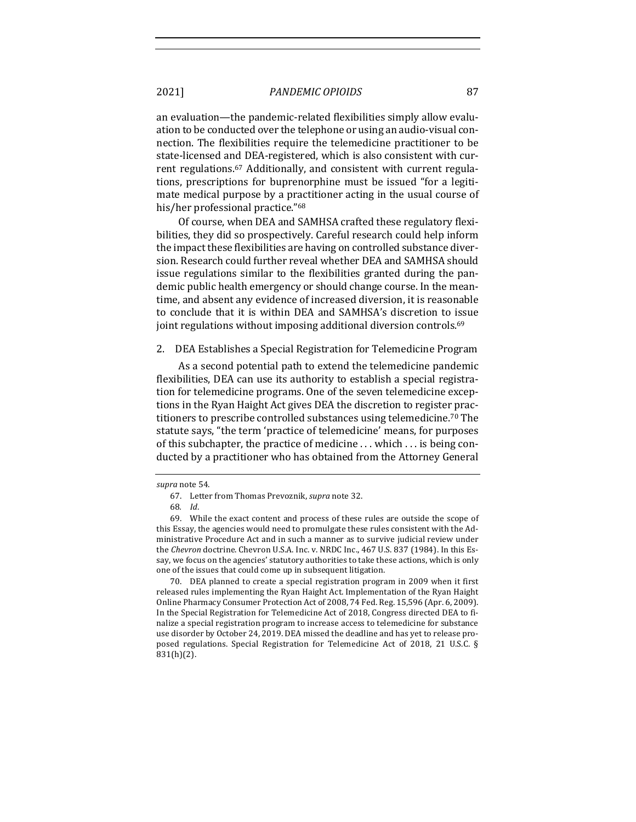an evaluation—the pandemic-related flexibilities simply allow evaluation to be conducted over the telephone or using an audio-visual connection. The flexibilities require the telemedicine practitioner to be state-licensed and DEA-registered, which is also consistent with current regulations.<sup>67</sup> Additionally, and consistent with current regulations, prescriptions for buprenorphine must be issued "for a legitimate medical purpose by a practitioner acting in the usual course of his/her professional practice."<sup>68</sup>

Of course, when DEA and SAMHSA crafted these regulatory flexibilities, they did so prospectively. Careful research could help inform the impact these flexibilities are having on controlled substance diversion. Research could further reveal whether DEA and SAMHSA should issue regulations similar to the flexibilities granted during the pandemic public health emergency or should change course. In the meantime, and absent any evidence of increased diversion, it is reasonable to conclude that it is within DEA and SAMHSA's discretion to issue joint regulations without imposing additional diversion controls.<sup>69</sup>

#### 2. DEA Establishes a Special Registration for Telemedicine Program

As a second potential path to extend the telemedicine pandemic flexibilities, DEA can use its authority to establish a special registration for telemedicine programs. One of the seven telemedicine exceptions in the Ryan Haight Act gives DEA the discretion to register practitioners to prescribe controlled substances using telemedicine.<sup>70</sup> The statute says, "the term 'practice of telemedicine' means, for purposes of this subchapter, the practice of medicine  $\dots$  which  $\dots$  is being conducted by a practitioner who has obtained from the Attorney General

70. DEA planned to create a special registration program in 2009 when it first released rules implementing the Ryan Haight Act. Implementation of the Ryan Haight Online Pharmacy Consumer Protection Act of 2008, 74 Fed. Reg. 15,596 (Apr. 6, 2009). In the Special Registration for Telemedicine Act of 2018, Congress directed DEA to finalize a special registration program to increase access to telemedicine for substance use disorder by October 24, 2019. DEA missed the deadline and has yet to release proposed regulations. Special Registration for Telemedicine Act of 2018, 21 U.S.C. § 831(h)(2).

supra note 54.

<sup>67.</sup> Letter from Thomas Prevoznik, *supra* note 32.

<sup>68</sup>*. Id*.

<sup>69.</sup> While the exact content and process of these rules are outside the scope of this Essay, the agencies would need to promulgate these rules consistent with the Administrative Procedure Act and in such a manner as to survive judicial review under the *Chevron* doctrine. Chevron U.S.A. Inc. v. NRDC Inc., 467 U.S. 837 (1984). In this Essay, we focus on the agencies' statutory authorities to take these actions, which is only one of the issues that could come up in subsequent litigation.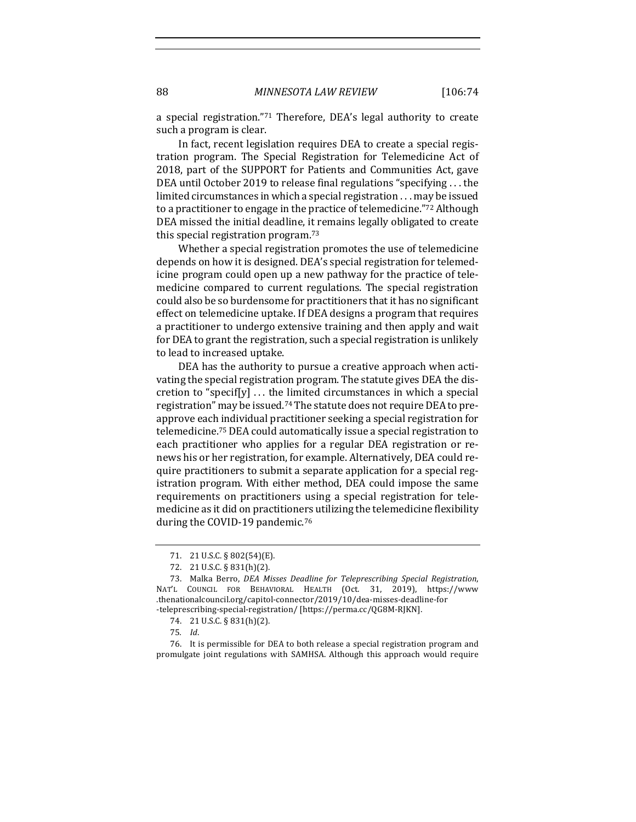a special registration."<sup>71</sup> Therefore,  $DEA$ 's legal authority to create such a program is clear.

In fact, recent legislation requires DEA to create a special registration program. The Special Registration for Telemedicine Act of 2018, part of the SUPPORT for Patients and Communities Act, gave DEA until October 2019 to release final regulations "specifying . . . the limited circumstances in which a special registration  $\ldots$  may be issued to a practitioner to engage in the practice of telemedicine."72 Although DEA missed the initial deadline, it remains legally obligated to create this special registration program. $73$ 

Whether a special registration promotes the use of telemedicine depends on how it is designed. DEA's special registration for telemedicine program could open up a new pathway for the practice of telemedicine compared to current regulations. The special registration could also be so burdensome for practitioners that it has no significant effect on telemedicine uptake. If DEA designs a program that requires a practitioner to undergo extensive training and then apply and wait for DEA to grant the registration, such a special registration is unlikely to lead to increased uptake.

DEA has the authority to pursue a creative approach when activating the special registration program. The statute gives DEA the discretion to "specif[y]  $\dots$  the limited circumstances in which a special registration" may be issued.<sup>74</sup> The statute does not require DEA to preapprove each individual practitioner seeking a special registration for telemedicine.<sup>75</sup> DEA could automatically issue a special registration to each practitioner who applies for a regular DEA registration or renews his or her registration, for example. Alternatively, DEA could require practitioners to submit a separate application for a special registration program. With either method, DEA could impose the same requirements on practitioners using a special registration for telemedicine as it did on practitioners utilizing the telemedicine flexibility during the COVID-19 pandemic.<sup>76</sup>

76. It is permissible for DEA to both release a special registration program and promulgate joint regulations with SAMHSA. Although this approach would require

<sup>71. 21</sup> U.S.C. § 802(54)(E).

<sup>72. 21</sup> U.S.C. § 831(h)(2).

<sup>73.</sup> Malka Berro, *DEA Misses Deadline for Teleprescribing Special Registration*, NAT'L COUNCIL FOR BEHAVIORAL HEALTH (Oct. 31, 2019), https://www .thenationalcouncil.org/capitol-connector/2019/10/dea-misses-deadline-for -teleprescribing-special-registration/ [https://perma.cc/QG8M-RJKN].

<sup>74. 21</sup> U.S.C. § 831(h)(2).

<sup>75</sup>*. Id*.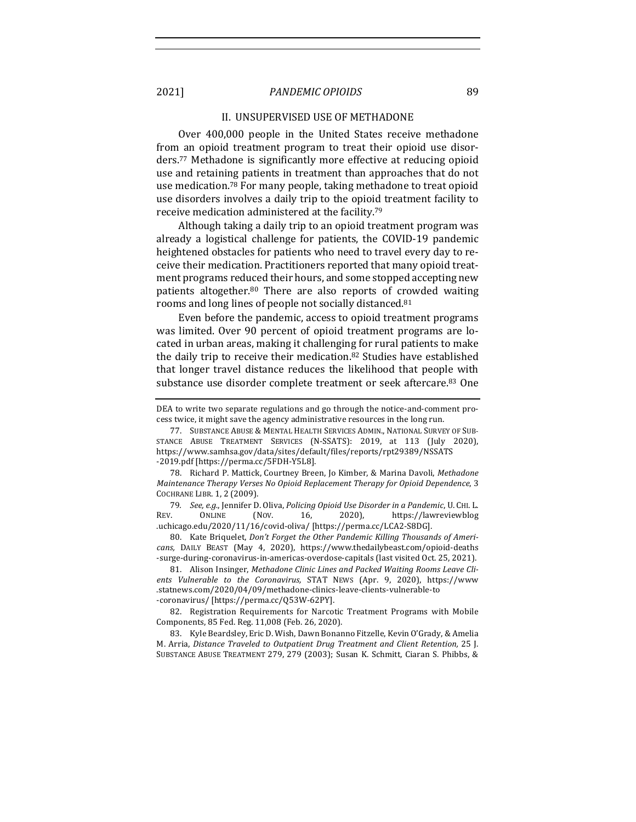#### II. UNSUPERVISED USE OF METHADONE

Over 400,000 people in the United States receive methadone from an opioid treatment program to treat their opioid use disorders.<sup>77</sup> Methadone is significantly more effective at reducing opioid use and retaining patients in treatment than approaches that do not use medication.<sup>78</sup> For many people, taking methadone to treat opioid use disorders involves a daily trip to the opioid treatment facility to receive medication administered at the facility.<sup>79</sup>

Although taking a daily trip to an opioid treatment program was already a logistical challenge for patients, the COVID-19 pandemic heightened obstacles for patients who need to travel every day to receive their medication. Practitioners reported that many opioid treatment programs reduced their hours, and some stopped accepting new patients altogether.<sup>80</sup> There are also reports of crowded waiting rooms and long lines of people not socially distanced.<sup>81</sup>

Even before the pandemic, access to opioid treatment programs was limited. Over 90 percent of opioid treatment programs are located in urban areas, making it challenging for rural patients to make the daily trip to receive their medication.<sup>82</sup> Studies have established that longer travel distance reduces the likelihood that people with substance use disorder complete treatment or seek aftercare.<sup>83</sup> One

78. Richard P. Mattick, Courtney Breen, Jo Kimber, & Marina Davoli, Methadone *Maintenance Therapy Verses No Opioid Replacement Therapy for Opioid Dependence*, 3 COCHRANE LIBR. 1, 2 (2009).

79. See, e.g., Jennifer D. Oliva, Policing Opioid Use Disorder in a Pandemic, U. CHI. L. REV. ONLINE (NOV. 16, 2020), https://lawreviewblog .uchicago.edu/2020/11/16/covid-oliva/ [https://perma.cc/LCA2-S8DG].

80. Kate Briquelet, *Don't Forget the Other Pandemic Killing Thousands of Americans,* DAILY BEAST (May 4, 2020), https://www.thedailybeast.com/opioid-deaths -surge-during-coronavirus-in-americas-overdose-capitals (last visited Oct. 25, 2021).

81. Alison Insinger, Methadone Clinic Lines and Packed Waiting Rooms Leave Clients Vulnerable to the Coronavirus, STAT NEWS (Apr. 9, 2020), https://www .statnews.com/2020/04/09/methadone-clinics-leave-clients-vulnerable-to -coronavirus/ [https://perma.cc/Q53W-62PY].

82. Registration Requirements for Narcotic Treatment Programs with Mobile Components, 85 Fed. Reg. 11,008 (Feb. 26, 2020). 

83. Kyle Beardsley, Eric D. Wish, Dawn Bonanno Fitzelle, Kevin O'Grady, & Amelia M. Arria, *Distance Traveled to Outpatient Drug Treatment and Client Retention,* 25 J. SUBSTANCE ABUSE TREATMENT 279, 279 (2003); Susan K. Schmitt, Ciaran S. Phibbs, &

DEA to write two separate regulations and go through the notice-and-comment process twice, it might save the agency administrative resources in the long run.

<sup>77.</sup> SUBSTANCE ABUSE & MENTAL HEALTH SERVICES ADMIN., NATIONAL SURVEY OF SUB-STANCE ABUSE TREATMENT SERVICES (N-SSATS): 2019, at 113 (July 2020), https://www.samhsa.gov/data/sites/default/files/reports/rpt29389/NSSATS -2019.pdf [https://perma.cc/5FDH-Y5L8].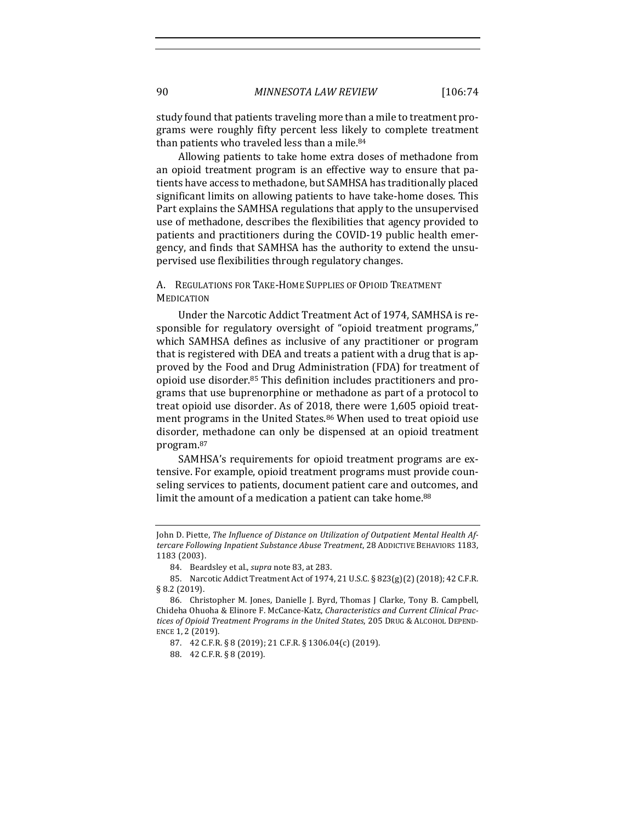study found that patients traveling more than a mile to treatment programs were roughly fifty percent less likely to complete treatment than patients who traveled less than a mile.<sup>84</sup>

Allowing patients to take home extra doses of methadone from an opioid treatment program is an effective way to ensure that patients have access to methadone, but SAMHSA has traditionally placed significant limits on allowing patients to have take-home doses. This Part explains the SAMHSA regulations that apply to the unsupervised use of methadone, describes the flexibilities that agency provided to patients and practitioners during the COVID-19 public health emergency, and finds that SAMHSA has the authority to extend the unsupervised use flexibilities through regulatory changes.

# A. REGULATIONS FOR TAKE-HOME SUPPLIES OF OPIOID TREATMENT **MEDICATION**

Under the Narcotic Addict Treatment Act of 1974, SAMHSA is responsible for regulatory oversight of "opioid treatment programs," which SAMHSA defines as inclusive of any practitioner or program that is registered with DEA and treats a patient with a drug that is approved by the Food and Drug Administration (FDA) for treatment of opioid use disorder.<sup>85</sup> This definition includes practitioners and programs that use buprenorphine or methadone as part of a protocol to treat opioid use disorder. As of 2018, there were 1,605 opioid treatment programs in the United States.<sup>86</sup> When used to treat opioid use disorder, methadone can only be dispensed at an opioid treatment program.87

SAMHSA's requirements for opioid treatment programs are extensive. For example, opioid treatment programs must provide counseling services to patients, document patient care and outcomes, and limit the amount of a medication a patient can take home.<sup>88</sup>

John D. Piette, *The Influence of Distance on Utilization of Outpatient Mental Health Af*tercare Following Inpatient Substance Abuse Treatment, 28 ADDICTIVE BEHAVIORS 1183, 1183 (2003).

<sup>84.</sup> Beardsley et al., *supra* note 83, at 283.

<sup>85.</sup> Narcotic Addict Treatment Act of 1974, 21 U.S.C. § 823(g)(2) (2018); 42 C.F.R. § 8.2 (2019).

<sup>86.</sup> Christopher M. Jones, Danielle J. Byrd, Thomas J Clarke, Tony B. Campbell, Chideha Ohuoha & Elinore F. McCance-Katz, *Characteristics and Current Clinical Practices of Opioid Treatment Programs in the United States*, 205 DRUG & ALCOHOL DEPEND-ENCE 1, 2 (2019).

<sup>87. 42</sup> C.F.R. § 8 (2019); 21 C.F.R. § 1306.04(c) (2019).

<sup>88. 42</sup> C.F.R. § 8 (2019).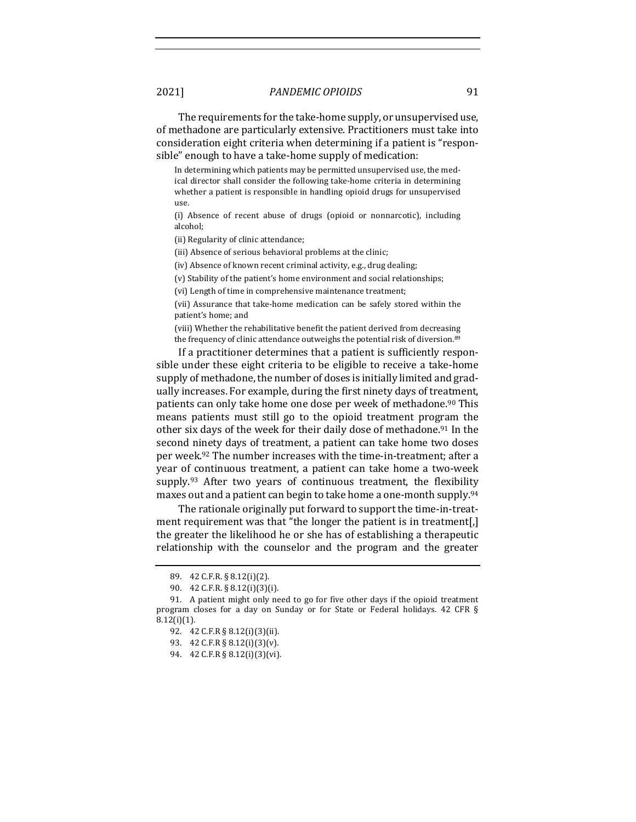The requirements for the take-home supply, or unsupervised use, of methadone are particularly extensive. Practitioners must take into consideration eight criteria when determining if a patient is "responsible" enough to have a take-home supply of medication:

In determining which patients may be permitted unsupervised use, the medical director shall consider the following take-home criteria in determining whether a patient is responsible in handling opioid drugs for unsupervised use.

(i) Absence of recent abuse of drugs (opioid or nonnarcotic), including alcohol;

(ii) Regularity of clinic attendance;

(iii) Absence of serious behavioral problems at the clinic;

(iv) Absence of known recent criminal activity, e.g., drug dealing;

(v) Stability of the patient's home environment and social relationships;

(vi) Length of time in comprehensive maintenance treatment;

(vii) Assurance that take-home medication can be safely stored within the patient's home; and

(viii) Whether the rehabilitative benefit the patient derived from decreasing the frequency of clinic attendance outweighs the potential risk of diversion.<sup>89</sup>

If a practitioner determines that a patient is sufficiently responsible under these eight criteria to be eligible to receive a take-home supply of methadone, the number of doses is initially limited and gradually increases. For example, during the first ninety days of treatment, patients can only take home one dose per week of methadone.<sup>90</sup> This means patients must still go to the opioid treatment program the other six days of the week for their daily dose of methadone.<sup>91</sup> In the second ninety days of treatment, a patient can take home two doses per week.<sup>92</sup> The number increases with the time-in-treatment; after a year of continuous treatment, a patient can take home a two-week supply. $93$  After two years of continuous treatment, the flexibility maxes out and a patient can begin to take home a one-month supply.<sup>94</sup>

The rationale originally put forward to support the time-in-treatment requirement was that "the longer the patient is in treatment[,] the greater the likelihood he or she has of establishing a therapeutic relationship with the counselor and the program and the greater

<sup>89.</sup> 42 C.F.R. § 8.12(i)(2).

<sup>90. 42</sup> C.F.R. § 8.12(i)(3)(i).

<sup>91.</sup> A patient might only need to go for five other days if the opioid treatment program closes for a day on Sunday or for State or Federal holidays. 42 CFR §  $8.12(i)(1)$ .

<sup>92. 42</sup> C.F.R § 8.12(i)(3)(ii).

<sup>93. 42</sup> C.F.R § 8.12(i)(3)(v).

<sup>94. 42</sup> C.F.R § 8.12(i)(3)(vi).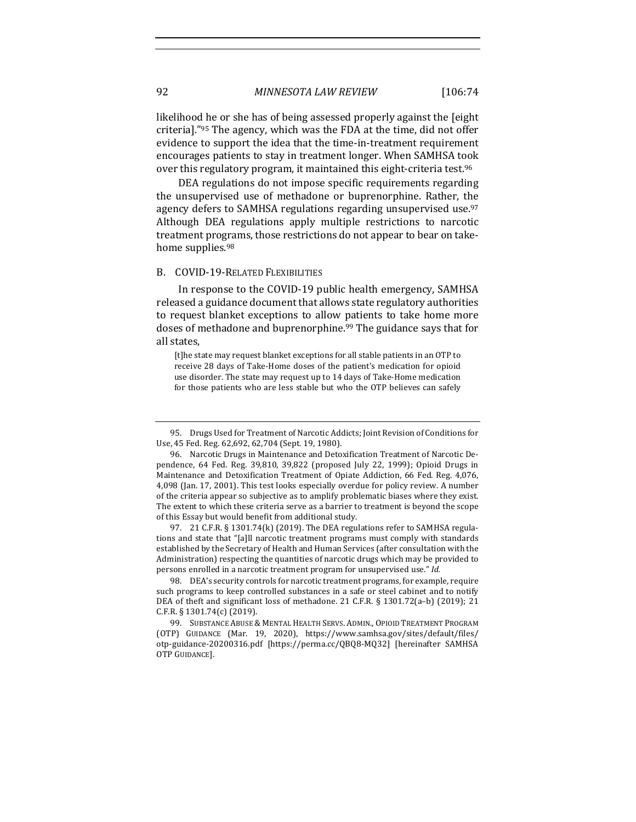92 *MINNESOTA LAW REVIEW* [106:74

likelihood he or she has of being assessed properly against the [eight] criteria]."<sup>95</sup> The agency, which was the FDA at the time, did not offer evidence to support the idea that the time-in-treatment requirement encourages patients to stay in treatment longer. When SAMHSA took over this regulatory program, it maintained this eight-criteria test.<sup>96</sup>

DEA regulations do not impose specific requirements regarding the unsupervised use of methadone or buprenorphine. Rather, the agency defers to SAMHSA regulations regarding unsupervised use.<sup>97</sup> Although DEA regulations apply multiple restrictions to narcotic treatment programs, those restrictions do not appear to bear on takehome supplies.<sup>98</sup>

#### B. COVID-19-RELATED FLEXIBILITIES

In response to the COVID-19 public health emergency, SAMHSA released a guidance document that allows state regulatory authorities to request blanket exceptions to allow patients to take home more doses of methadone and buprenorphine.<sup>99</sup> The guidance says that for all states,

[t]he state may request blanket exceptions for all stable patients in an OTP to receive 28 days of Take-Home doses of the patient's medication for opioid use disorder. The state may request up to 14 days of Take-Home medication for those patients who are less stable but who the OTP believes can safely

97. 21 C.F.R.  $\S$  1301.74(k) (2019). The DEA regulations refer to SAMHSA regulations and state that "[a]ll narcotic treatment programs must comply with standards established by the Secretary of Health and Human Services (after consultation with the Administration) respecting the quantities of narcotic drugs which may be provided to persons enrolled in a narcotic treatment program for unsupervised use." Id.

98. DEA's security controls for narcotic treatment programs, for example, require such programs to keep controlled substances in a safe or steel cabinet and to notify DEA of theft and significant loss of methadone. 21 C.F.R. § 1301.72(a–b) (2019); 21 C.F.R. § 1301.74(c) (2019).

99. SUBSTANCE ABUSE & MENTAL HEALTH SERVS. ADMIN., OPIOID TREATMENT PROGRAM (OTP) GUIDANCE (Mar. 19, 2020), https://www.samhsa.gov/sites/default/files/ otp-guidance-20200316.pdf [https://perma.cc/QBQ8-MQ32] [hereinafter SAMHSA OTP GUIDANCE].

<sup>95.</sup> Drugs Used for Treatment of Narcotic Addicts; Joint Revision of Conditions for Use, 45 Fed. Reg. 62,692, 62,704 (Sept. 19, 1980).

<sup>96.</sup> Narcotic Drugs in Maintenance and Detoxification Treatment of Narcotic Dependence, 64 Fed. Reg. 39,810, 39,822 (proposed July 22, 1999); Opioid Drugs in Maintenance and Detoxification Treatment of Opiate Addiction, 66 Fed. Reg. 4,076, 4,098 (Jan. 17, 2001). This test looks especially overdue for policy review. A number of the criteria appear so subjective as to amplify problematic biases where they exist. The extent to which these criteria serve as a barrier to treatment is beyond the scope of this Essay but would benefit from additional study.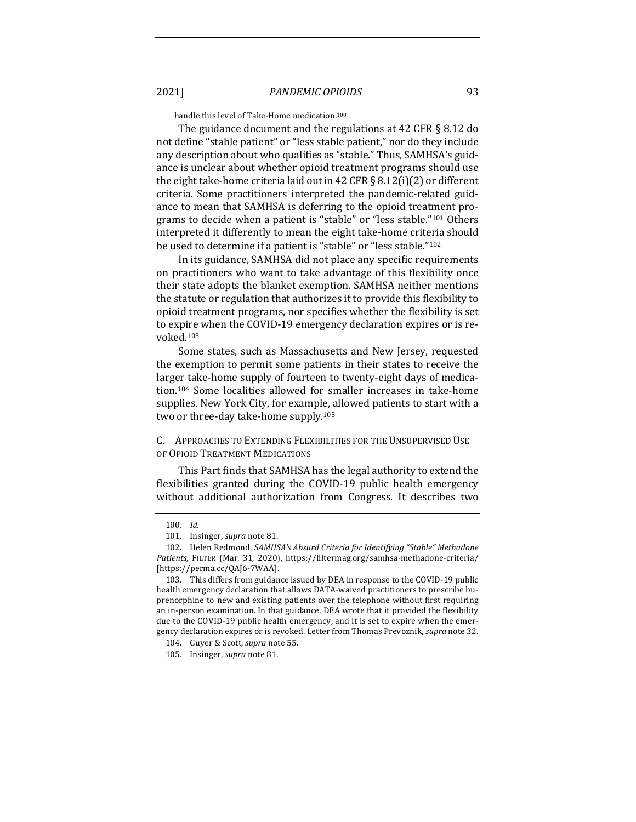handle this level of Take-Home medication.<sup>100</sup>

The guidance document and the regulations at 42 CFR  $\S$  8.12 do not define "stable patient" or "less stable patient," nor do they include any description about who qualifies as "stable." Thus, SAMHSA's guidance is unclear about whether opioid treatment programs should use the eight take-home criteria laid out in 42 CFR § 8.12(i)(2) or different criteria. Some practitioners interpreted the pandemic-related guidance to mean that SAMHSA is deferring to the opioid treatment programs to decide when a patient is "stable" or "less stable."<sup>101</sup> Others interpreted it differently to mean the eight take-home criteria should be used to determine if a patient is "stable" or "less stable."<sup>102</sup>

In its guidance, SAMHSA did not place any specific requirements on practitioners who want to take advantage of this flexibility once their state adopts the blanket exemption. SAMHSA neither mentions the statute or regulation that authorizes it to provide this flexibility to opioid treatment programs, nor specifies whether the flexibility is set to expire when the COVID-19 emergency declaration expires or is revoked.103

Some states, such as Massachusetts and New Jersey, requested the exemption to permit some patients in their states to receive the larger take-home supply of fourteen to twenty-eight days of medication.<sup>104</sup> Some localities allowed for smaller increases in take-home supplies. New York City, for example, allowed patients to start with a two or three-day take-home supply.<sup>105</sup>

# C. APPROACHES TO EXTENDING FLEXIBILITIES FOR THE UNSUPERVISED USE OF OPIOID TREATMENT MEDICATIONS

This Part finds that SAMHSA has the legal authority to extend the flexibilities granted during the COVID-19 public health emergency without additional authorization from Congress. It describes two

<sup>100</sup>*. Id.*

<sup>101.</sup> Insinger, *supra* note 81.

<sup>102.</sup> Helen Redmond, SAMHSA's Absurd Criteria for Identifying "Stable" Methadone Patients, FILTER (Mar. 31, 2020), https://filtermag.org/samhsa-methadone-criteria/ [https://perma.cc/QAJ6-7WAA].

<sup>103.</sup> This differs from guidance issued by DEA in response to the COVID-19 public health emergency declaration that allows DATA-waived practitioners to prescribe buprenorphine to new and existing patients over the telephone without first requiring an in-person examination. In that guidance, DEA wrote that it provided the flexibility due to the COVID-19 public health emergency, and it is set to expire when the emergency declaration expires or is revoked. Letter from Thomas Prevoznik, *supra* note 32.

<sup>104.</sup> Guyer & Scott, *supra* note 55.

<sup>105.</sup> Insinger, *supra* note 81.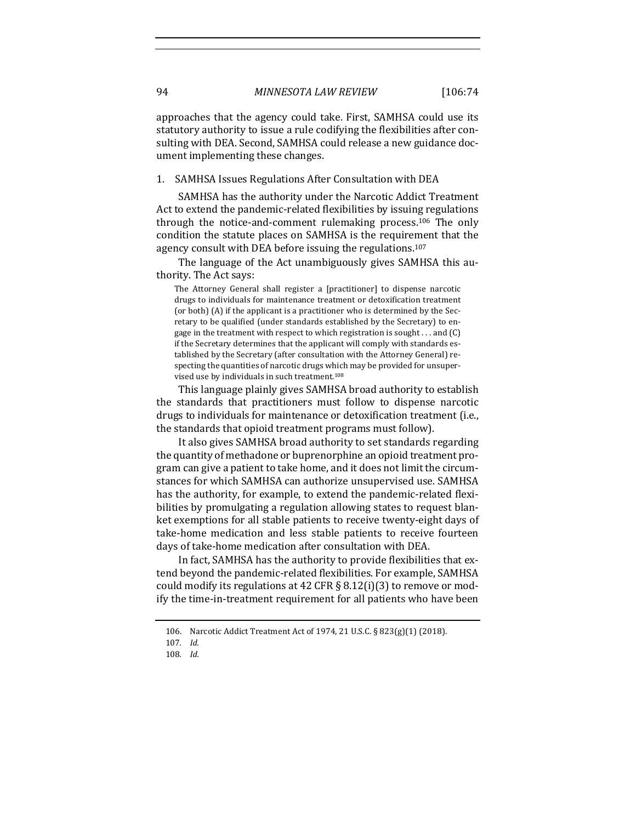approaches that the agency could take. First, SAMHSA could use its statutory authority to issue a rule codifying the flexibilities after consulting with DEA. Second, SAMHSA could release a new guidance document implementing these changes.

## 1. SAMHSA Issues Regulations After Consultation with DEA

SAMHSA has the authority under the Narcotic Addict Treatment Act to extend the pandemic-related flexibilities by issuing regulations through the notice-and-comment rulemaking process.<sup>106</sup> The only condition the statute places on SAMHSA is the requirement that the agency consult with DEA before issuing the regulations.<sup>107</sup>

The language of the Act unambiguously gives SAMHSA this authority. The Act says:

The Attorney General shall register a [practitioner] to dispense narcotic drugs to individuals for maintenance treatment or detoxification treatment (or both) (A) if the applicant is a practitioner who is determined by the Secretary to be qualified (under standards established by the Secretary) to engage in the treatment with respect to which registration is sought  $\dots$  and (C) if the Secretary determines that the applicant will comply with standards established by the Secretary (after consultation with the Attorney General) respecting the quantities of narcotic drugs which may be provided for unsupervised use by individuals in such treatment.<sup>108</sup>

This language plainly gives SAMHSA broad authority to establish the standards that practitioners must follow to dispense narcotic drugs to individuals for maintenance or detoxification treatment (i.e., the standards that opioid treatment programs must follow).

It also gives SAMHSA broad authority to set standards regarding the quantity of methadone or buprenorphine an opioid treatment program can give a patient to take home, and it does not limit the circumstances for which SAMHSA can authorize unsupervised use. SAMHSA has the authority, for example, to extend the pandemic-related flexibilities by promulgating a regulation allowing states to request blanket exemptions for all stable patients to receive twenty-eight days of take-home medication and less stable patients to receive fourteen days of take-home medication after consultation with DEA.

In fact, SAMHSA has the authority to provide flexibilities that extend beyond the pandemic-related flexibilities. For example, SAMHSA could modify its regulations at 42 CFR  $\S$  8.12(i)(3) to remove or modify the time-in-treatment requirement for all patients who have been

<sup>106.</sup> Narcotic Addict Treatment Act of 1974, 21 U.S.C. § 823(g)(1) (2018).

<sup>107</sup>*. Id.*

<sup>108</sup>*. Id.*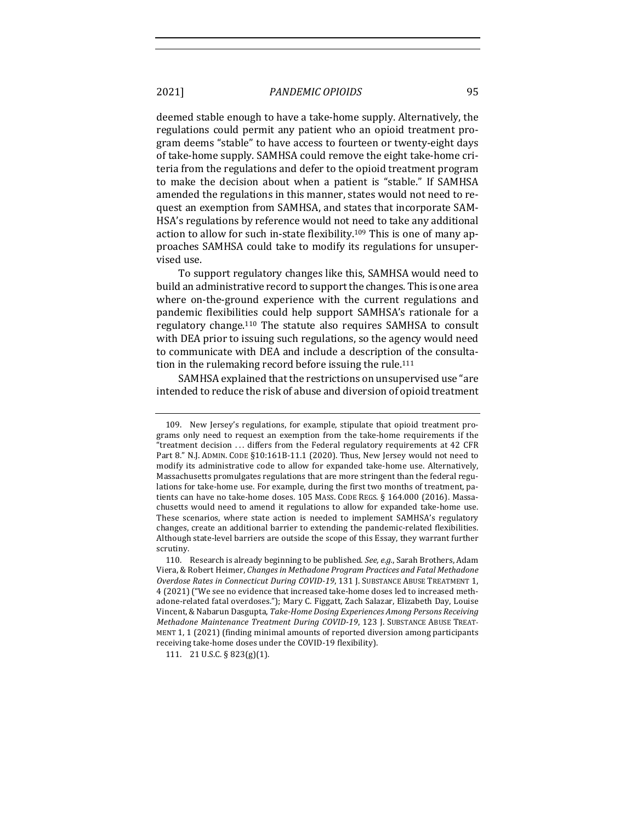deemed stable enough to have a take-home supply. Alternatively, the regulations could permit any patient who an opioid treatment program deems "stable" to have access to fourteen or twenty-eight days of take-home supply. SAMHSA could remove the eight take-home criteria from the regulations and defer to the opioid treatment program to make the decision about when a patient is "stable." If SAMHSA amended the regulations in this manner, states would not need to request an exemption from SAMHSA, and states that incorporate SAM-HSA's regulations by reference would not need to take any additional action to allow for such in-state flexibility.<sup>109</sup> This is one of many approaches SAMHSA could take to modify its regulations for unsupervised use.

To support regulatory changes like this, SAMHSA would need to build an administrative record to support the changes. This is one area where on-the-ground experience with the current regulations and pandemic flexibilities could help support SAMHSA's rationale for a regulatory change.<sup>110</sup> The statute also requires SAMHSA to consult with DEA prior to issuing such regulations, so the agency would need to communicate with DEA and include a description of the consultation in the rulemaking record before issuing the rule.<sup>111</sup>

SAMHSA explained that the restrictions on unsupervised use "are intended to reduce the risk of abuse and diversion of opioid treatment

111. 21 U.S.C. § 823(g)(1).

<sup>109.</sup> New Jersey's regulations, for example, stipulate that opioid treatment programs only need to request an exemption from the take-home requirements if the "treatment decision ... differs from the Federal regulatory requirements at 42 CFR Part 8." N.J. ADMIN. CODE §10:161B-11.1 (2020). Thus, New Jersey would not need to modify its administrative code to allow for expanded take-home use. Alternatively, Massachusetts promulgates regulations that are more stringent than the federal regulations for take-home use. For example, during the first two months of treatment, patients can have no take-home doses. 105 MASS. CODE REGS. § 164.000 (2016). Massachusetts would need to amend it regulations to allow for expanded take-home use. These scenarios, where state action is needed to implement SAMHSA's regulatory changes, create an additional barrier to extending the pandemic-related flexibilities. Although state-level barriers are outside the scope of this Essay, they warrant further scrutiny.

<sup>110.</sup> Research is already beginning to be published. See, e.g., Sarah Brothers, Adam Viera, & Robert Heimer, *Changes in Methadone Program Practices and Fatal Methadone Overdose Rates in Connecticut During COVID-19*, 131 J. SUBSTANCE ABUSE TREATMENT 1, 4 (2021) ("We see no evidence that increased take-home doses led to increased methadone-related fatal overdoses."); Mary C. Figgatt, Zach Salazar, Elizabeth Day, Louise Vincent, & Nabarun Dasgupta, Take-Home Dosing Experiences Among Persons Receiving *Methadone Maintenance Treatment During COVID-19, 123 J. SUBSTANCE ABUSE TREAT-*MENT 1, 1 (2021) (finding minimal amounts of reported diversion among participants receiving take-home doses under the COVID-19 flexibility).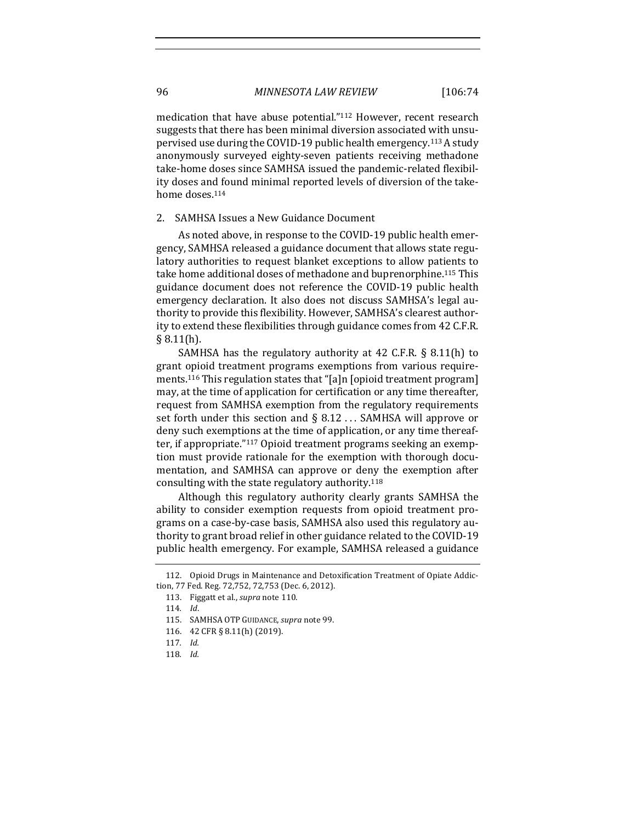medication that have abuse potential."<sup>112</sup> However, recent research suggests that there has been minimal diversion associated with unsupervised use during the COVID-19 public health emergency.<sup>113</sup> A study anonymously surveyed eighty-seven patients receiving methadone take-home doses since SAMHSA issued the pandemic-related flexibility doses and found minimal reported levels of diversion of the takehome doses.<sup>114</sup>

#### 2. SAMHSA Issues a New Guidance Document

As noted above, in response to the COVID-19 public health emergency, SAMHSA released a guidance document that allows state regulatory authorities to request blanket exceptions to allow patients to take home additional doses of methadone and buprenorphine.<sup>115</sup> This guidance document does not reference the COVID-19 public health emergency declaration. It also does not discuss SAMHSA's legal authority to provide this flexibility. However, SAMHSA's clearest authority to extend these flexibilities through guidance comes from 42 C.F.R.  $§ 8.11(h).$ 

SAMHSA has the regulatory authority at  $42$  C.F.R. § 8.11(h) to grant opioid treatment programs exemptions from various requirements.<sup>116</sup> This regulation states that "[a]n [opioid treatment program] may, at the time of application for certification or any time thereafter, request from SAMHSA exemption from the regulatory requirements set forth under this section and  $\S$  8.12 ... SAMHSA will approve or deny such exemptions at the time of application, or any time thereafter, if appropriate."<sup>117</sup> Opioid treatment programs seeking an exemption must provide rationale for the exemption with thorough documentation, and SAMHSA can approve or deny the exemption after consulting with the state regulatory authority.<sup>118</sup>

Although this regulatory authority clearly grants SAMHSA the ability to consider exemption requests from opioid treatment programs on a case-by-case basis, SAMHSA also used this regulatory authority to grant broad relief in other guidance related to the COVID-19 public health emergency. For example, SAMHSA released a guidance

<sup>112.</sup> Opioid Drugs in Maintenance and Detoxification Treatment of Opiate Addiction, 77 Fed. Reg. 72,752, 72,753 (Dec. 6, 2012).

<sup>113.</sup> Figgatt et al., *supra* note 110.

<sup>114</sup>*. Id*.

<sup>115.</sup> SAMHSA OTP GUIDANCE, *supra* note 99.

<sup>116. 42</sup> CFR § 8.11(h) (2019).

<sup>117</sup>*. Id.*

<sup>118</sup>*. Id.*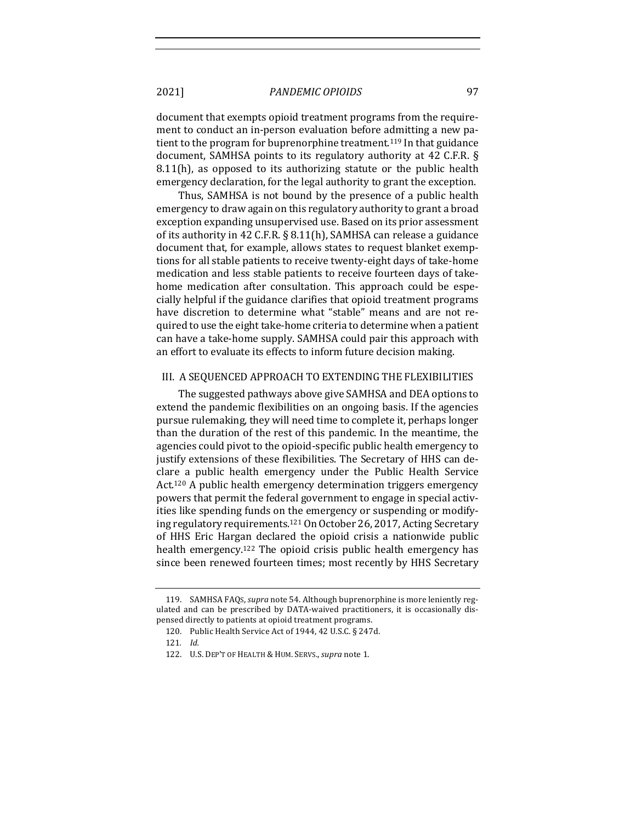document that exempts opioid treatment programs from the requirement to conduct an in-person evaluation before admitting a new patient to the program for buprenorphine treatment.<sup>119</sup> In that guidance document, SAMHSA points to its regulatory authority at 42 C.F.R. §  $8.11(h)$ , as opposed to its authorizing statute or the public health emergency declaration, for the legal authority to grant the exception.

Thus, SAMHSA is not bound by the presence of a public health emergency to draw again on this regulatory authority to grant a broad exception expanding unsupervised use. Based on its prior assessment of its authority in 42 C.F.R. § 8.11(h), SAMHSA can release a guidance document that, for example, allows states to request blanket exemptions for all stable patients to receive twenty-eight days of take-home medication and less stable patients to receive fourteen days of takehome medication after consultation. This approach could be especially helpful if the guidance clarifies that opioid treatment programs have discretion to determine what "stable" means and are not required to use the eight take-home criteria to determine when a patient can have a take-home supply. SAMHSA could pair this approach with an effort to evaluate its effects to inform future decision making.

#### III. A SEQUENCED APPROACH TO EXTENDING THE FLEXIBILITIES

The suggested pathways above give SAMHSA and DEA options to extend the pandemic flexibilities on an ongoing basis. If the agencies pursue rulemaking, they will need time to complete it, perhaps longer than the duration of the rest of this pandemic. In the meantime, the agencies could pivot to the opioid-specific public health emergency to justify extensions of these flexibilities. The Secretary of HHS can declare a public health emergency under the Public Health Service Act.<sup>120</sup> A public health emergency determination triggers emergency powers that permit the federal government to engage in special activities like spending funds on the emergency or suspending or modifying regulatory requirements.<sup>121</sup> On October 26, 2017, Acting Secretary of HHS Eric Hargan declared the opioid crisis a nationwide public health emergency.<sup>122</sup> The opioid crisis public health emergency has since been renewed fourteen times; most recently by HHS Secretary

<sup>119.</sup> SAMHSA FAQs, *supra* note 54. Although buprenorphine is more leniently regulated and can be prescribed by DATA-waived practitioners, it is occasionally dispensed directly to patients at opioid treatment programs.

<sup>120.</sup> Public Health Service Act of 1944, 42 U.S.C. § 247d.

<sup>121</sup>*. Id.*

<sup>122.</sup> U.S. DEP'T OF HEALTH & HUM. SERVS., *supra* note 1.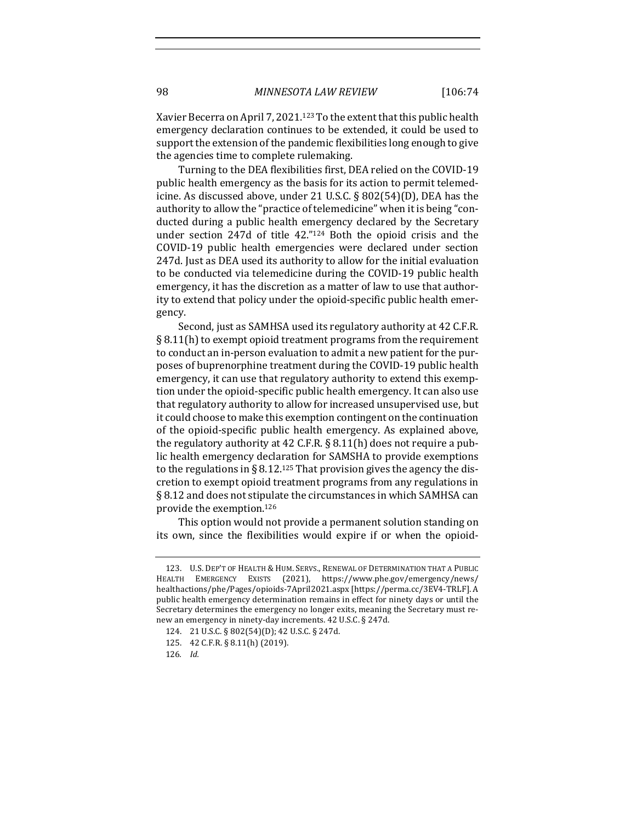Xavier Becerra on April 7, 2021.<sup>123</sup> To the extent that this public health emergency declaration continues to be extended, it could be used to support the extension of the pandemic flexibilities long enough to give the agencies time to complete rulemaking.

Turning to the DEA flexibilities first, DEA relied on the COVID-19 public health emergency as the basis for its action to permit telemedicine. As discussed above, under 21 U.S.C. § 802(54)(D), DEA has the authority to allow the "practice of telemedicine" when it is being "conducted during a public health emergency declared by the Secretary under section 247d of title 42."<sup>124</sup> Both the opioid crisis and the COVID-19 public health emergencies were declared under section 247d. Just as DEA used its authority to allow for the initial evaluation to be conducted via telemedicine during the COVID-19 public health emergency, it has the discretion as a matter of law to use that authority to extend that policy under the opioid-specific public health emergency. 

Second, just as SAMHSA used its regulatory authority at 42 C.F.R.  $\S 8.11(h)$  to exempt opioid treatment programs from the requirement to conduct an in-person evaluation to admit a new patient for the purposes of buprenorphine treatment during the COVID-19 public health emergency, it can use that regulatory authority to extend this exemption under the opioid-specific public health emergency. It can also use that regulatory authority to allow for increased unsupervised use, but it could choose to make this exemption contingent on the continuation of the opioid-specific public health emergency. As explained above, the regulatory authority at 42 C.F.R.  $\S$  8.11(h) does not require a public health emergency declaration for SAMSHA to provide exemptions to the regulations in § 8.12.<sup>125</sup> That provision gives the agency the discretion to exempt opioid treatment programs from any regulations in  $\S$  8.12 and does not stipulate the circumstances in which SAMHSA can provide the exemption.<sup>126</sup>

This option would not provide a permanent solution standing on its own, since the flexibilities would expire if or when the opioid-

<sup>123.</sup> U.S. DEP'T OF HEALTH & HUM. SERVS., RENEWAL OF DETERMINATION THAT A PUBLIC HEALTH EMERGENCY EXISTS (2021), https://www.phe.gov/emergency/news/ healthactions/phe/Pages/opioids-7April2021.aspx [https://perma.cc/3EV4-TRLF]. A public health emergency determination remains in effect for ninety days or until the Secretary determines the emergency no longer exits, meaning the Secretary must renew an emergency in ninety-day increments. 42 U.S.C. § 247d.

<sup>124. 21</sup> U.S.C. § 802(54)(D); 42 U.S.C. § 247d.

<sup>125. 42</sup> C.F.R. § 8.11(h) (2019).

<sup>126</sup>*. Id.*